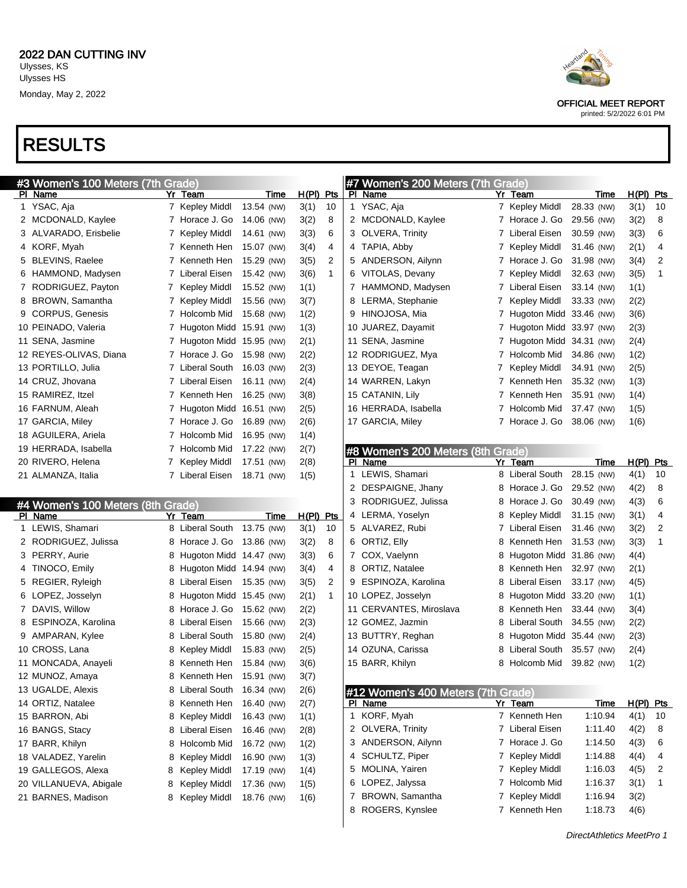# RESULTS

| #3 Women's 100 Meters (7th Grade) |   |                            |            |             |                |                | #7 Women's 200 Meters (7th Grade)  |   |                           |            |         |             |                |
|-----------------------------------|---|----------------------------|------------|-------------|----------------|----------------|------------------------------------|---|---------------------------|------------|---------|-------------|----------------|
| PI Name                           |   | Yr Team                    | Time       | H(PI) Pts   |                |                | PI Name                            |   | Yr Team                   |            | Time    | $H(PI)$ Pts |                |
| 1 YSAC, Aja                       |   | 7 Kepley Middl             | 13.54 (NW) | 3(1)        | 10             |                | 1 YSAC, Aja                        |   | 7 Kepley Middl            | 28.33 (NW) |         | 3(1)        | 10             |
| 2 MCDONALD, Kaylee                |   | 7 Horace J. Go             | 14.06 (NW) | 3(2)        | 8              |                | 2 MCDONALD, Kaylee                 |   | 7 Horace J. Go            | 29.56 (NW) |         | 3(2)        | 8              |
| 3 ALVARADO, Erisbelie             |   | 7 Kepley Middl             | 14.61 (NW) | 3(3)        | 6              | 3              | <b>OLVERA, Trinity</b>             |   | 7 Liberal Eisen           | 30.59 (NW) |         | 3(3)        | 6              |
| 4 KORF, Myah                      |   | 7 Kenneth Hen              | 15.07 (NW) | 3(4)        | 4              | 4              | TAPIA, Abby                        |   | 7 Kepley Middl            | 31.46 (NW) |         | 2(1)        | 4              |
| 5 BLEVINS, Raelee                 | 7 | Kenneth Hen                | 15.29 (NW) | 3(5)        | $\overline{2}$ | 5              | ANDERSON, Ailynn                   |   | 7 Horace J. Go            | 31.98 (NW) |         | 3(4)        | $\overline{2}$ |
| 6 HAMMOND, Madysen                |   | 7 Liberal Eisen            | 15.42 (NW) | 3(6)        | $\mathbf{1}$   | 6              | VITOLAS, Devany                    |   | 7 Kepley Middl            | 32.63 (NW) |         | 3(5)        | $\mathbf{1}$   |
| 7 RODRIGUEZ, Payton               |   | 7 Kepley Middl             | 15.52 (NW) | 1(1)        |                | $\overline{7}$ | HAMMOND, Madysen                   |   | 7 Liberal Eisen           | 33.14 (NW) |         | 1(1)        |                |
| 8 BROWN, Samantha                 |   | 7 Kepley Middl             | 15.56 (NW) | 3(7)        |                | 8              | LERMA, Stephanie                   |   | 7 Kepley Middl            | 33.33 (NW) |         | 2(2)        |                |
| 9 CORPUS, Genesis                 |   | 7 Holcomb Mid              | 15.68 (NW) | 1(2)        |                | 9              | HINOJOSA, Mia                      |   | 7 Hugoton Midd 33.46 (NW) |            |         | 3(6)        |                |
| 10 PEINADO, Valeria               |   | 7 Hugoton Midd 15.91 (NW)  |            | 1(3)        |                |                | 10 JUAREZ, Dayamit                 |   | 7 Hugoton Midd 33.97 (NW) |            |         | 2(3)        |                |
| 11 SENA, Jasmine                  |   | 7 Hugoton Midd 15.95 (NW)  |            | 2(1)        |                |                | 11 SENA, Jasmine                   |   | 7 Hugoton Midd 34.31 (NW) |            |         | 2(4)        |                |
| 12 REYES-OLIVAS, Diana            |   | 7 Horace J. Go 15.98 (NW)  |            | 2(2)        |                |                | 12 RODRIGUEZ, Mya                  |   | 7 Holcomb Mid             | 34.86 (NW) |         | 1(2)        |                |
| 13 PORTILLO, Julia                |   | 7 Liberal South            | 16.03 (NW) | 2(3)        |                |                | 13 DEYOE, Teagan                   |   | 7 Kepley Middl            | 34.91 (NW) |         | 2(5)        |                |
| 14 CRUZ, Jhovana                  |   | 7 Liberal Eisen            | 16.11 (NW) | 2(4)        |                |                | 14 WARREN, Lakyn                   |   | 7 Kenneth Hen             | 35.32 (NW) |         | 1(3)        |                |
| 15 RAMIREZ, Itzel                 |   | 7 Kenneth Hen              | 16.25 (NW) | 3(8)        |                |                | 15 CATANIN, Lily                   |   | 7 Kenneth Hen             | 35.91 (NW) |         | 1(4)        |                |
| 16 FARNUM, Aleah                  |   | 7 Hugoton Midd 16.51 (NW)  |            | 2(5)        |                |                | 16 HERRADA, Isabella               |   | 7 Holcomb Mid 37.47 (NW)  |            |         | 1(5)        |                |
| 17 GARCIA, Miley                  |   | 7 Horace J. Go 16.89 (NW)  |            | 2(6)        |                |                | 17 GARCIA, Miley                   |   | 7 Horace J. Go 38.06 (NW) |            |         | 1(6)        |                |
| 18 AGUILERA, Ariela               |   | 7 Holcomb Mid              | 16.95 (NW) | 1(4)        |                |                |                                    |   |                           |            |         |             |                |
| 19 HERRADA, Isabella              |   | 7 Holcomb Mid              | 17.22 (NW) | 2(7)        |                |                | #8 Women's 200 Meters (8th Grade)  |   |                           |            |         |             |                |
| 20 RIVERO, Helena                 |   | 7 Kepley Middl             | 17.51 (NW) | 2(8)        |                |                | PI Name                            |   | Yr Team                   |            | Time    | H(PI)       | Pts            |
| 21 ALMANZA, Italia                |   | 7 Liberal Eisen            | 18.71 (NW) | 1(5)        |                | $\mathbf{1}$   | LEWIS, Shamari                     |   | 8 Liberal South           | 28.15 (NW) |         | 4(1)        | 10             |
|                                   |   |                            |            |             |                |                | 2 DESPAIGNE, Jhany                 |   | 8 Horace J. Go            | 29.52 (NW) |         | 4(2)        | 8              |
| #4 Women's 100 Meters (8th Grade) |   |                            |            |             |                | 3              | RODRIGUEZ, Julissa                 |   | 8 Horace J. Go            | 30.49 (NW) |         | 4(3)        | 6              |
| PI Name                           |   | Yr Team                    | Time       | $H(PI)$ Pts |                |                | 4 LERMA, Yoselyn                   |   | 8 Kepley Middl            | 31.15 (NW) |         | 3(1)        | 4              |
| 1 LEWIS, Shamari                  |   | 8 Liberal South 13.75 (NW) |            | 3(1)        | 10             |                | 5 ALVAREZ, Rubi                    |   | 7 Liberal Eisen           | 31.46 (NW) |         | 3(2)        | $\overline{2}$ |
| 2 RODRIGUEZ, Julissa              |   | 8 Horace J. Go 13.86 (NW)  |            | 3(2)        | 8              | 6              | ORTIZ, Elly                        | 8 | Kenneth Hen 31.53 (NW)    |            |         | 3(3)        | $\mathbf{1}$   |
| 3 PERRY, Aurie                    |   | 8 Hugoton Midd 14.47 (NW)  |            | 3(3)        | 6              |                | 7 COX, Vaelynn                     | 8 | Hugoton Midd 31.86 (NW)   |            |         | 4(4)        |                |
| 4 TINOCO, Emily                   |   | 8 Hugoton Midd 14.94 (NW)  |            | 3(4)        | 4              | 8              | <b>ORTIZ, Natalee</b>              |   | 8 Kenneth Hen 32.97 (NW)  |            |         | 2(1)        |                |
| 5 REGIER, Ryleigh                 |   | 8 Liberal Eisen 15.35 (NW) |            | 3(5)        | $\overline{2}$ | 9              | ESPINOZA, Karolina                 | 8 | Liberal Eisen             | 33.17 (NW) |         | 4(5)        |                |
| 6 LOPEZ, Josselyn                 |   | 8 Hugoton Midd 15.45 (NW)  |            | 2(1)        | $\mathbf{1}$   |                | 10 LOPEZ, Josselyn                 |   | 8 Hugoton Midd 33.20 (NW) |            |         | 1(1)        |                |
| 7 DAVIS, Willow                   | 8 | Horace J. Go 15.62 (NW)    |            | 2(2)        |                |                | 11 CERVANTES, Miroslava            | 8 | Kenneth Hen 33.44 (NW)    |            |         | 3(4)        |                |
| 8 ESPINOZA, Karolina              |   | 8 Liberal Eisen            | 15.66 (NW) | 2(3)        |                |                | 12 GOMEZ, Jazmin                   | 8 | Liberal South 34.55 (NW)  |            |         | 2(2)        |                |
| 9 AMPARAN, Kylee                  |   | 8 Liberal South            | 15.80 (NW) | 2(4)        |                |                | 13 BUTTRY, Reghan                  | 8 | Hugoton Midd 35.44 (NW)   |            |         | 2(3)        |                |
| 10 CROSS, Lana                    |   | 8 Kepley Middl             | 15.83 (NW) | 2(5)        |                |                | 14 OZUNA, Carissa                  | 8 | Liberal South             | 35.57 (NW) |         | 2(4)        |                |
| 11 MONCADA, Anayeli               |   | 8 Kenneth Hen              | 15.84 (NW) | 3(6)        |                |                | 15 BARR, Khilyn                    |   | 8 Holcomb Mid 39.82 (NW)  |            |         | 1(2)        |                |
| 12 MUNOZ, Amaya                   | 8 | Kenneth Hen                | 15.91 (NW) | 3(7)        |                |                |                                    |   |                           |            |         |             |                |
| 13 UGALDE, Alexis                 | 8 | Liberal South              | 16.34 (NW) | 2(6)        |                |                | #12 Women's 400 Meters (7th Grade) |   |                           |            |         |             |                |
| 14 ORTIZ, Natalee                 | 8 | Kenneth Hen                | 16.40 (NW) | 2(7)        |                | PL.            | Name                               |   | Yr Team                   |            | Time    | $H(PI)$ Pts |                |
| 15 BARRON, Abi                    |   | 8 Kepley Middl             | 16.43 (NW) | 1(1)        |                | 1.             | KORF, Myah                         |   | 7 Kenneth Hen             |            | 1:10.94 | 4(1)        | 10             |
| 16 BANGS, Stacy                   |   | 8 Liberal Eisen            | 16.46 (NW) | 2(8)        |                |                | 2 OLVERA, Trinity                  |   | 7 Liberal Eisen           |            | 1:11.40 | 4(2)        | 8              |

| 1            | LEWIS, Shamari                     | 8 | Liberal South  | 28.15 (NW) | 4(1) | 10 |
|--------------|------------------------------------|---|----------------|------------|------|----|
| $\mathbf{2}$ | DESPAIGNE, Jhany                   | 8 | Horace J. Go   | 29.52 (NW) | 4(2) | 8  |
| 3            | RODRIGUEZ, Julissa                 |   | 8 Horace J. Go | 30.49 (NW) | 4(3) | 6  |
| 4            | LERMA, Yoselyn                     | 8 | Kepley Middl   | 31.15 (NW) | 3(1) | 4  |
|              | 5 ALVAREZ, Rubi                    | 7 | Liberal Eisen  | 31.46 (NW) | 3(2) | 2  |
| 6            | ORTIZ, Elly                        | 8 | Kenneth Hen    | 31.53 (NW) | 3(3) | 1  |
| 7            | COX, Vaelynn                       | 8 | Hugoton Midd   | 31.86 (NW) | 4(4) |    |
| 8            | ORTIZ, Natalee                     | 8 | Kenneth Hen    | 32.97 (NW) | 2(1) |    |
|              | 9 ESPINOZA, Karolina               | 8 | Liberal Eisen  | 33.17 (NW) | 4(5) |    |
|              | 10 LOPEZ, Josselyn                 | 8 | Hugoton Midd   | 33.20 (NW) | 1(1) |    |
|              | 11 CERVANTES, Miroslava            | 8 | Kenneth Hen    | 33.44 (NW) | 3(4) |    |
|              | 12 GOMEZ, Jazmin                   | 8 | Liberal South  | 34.55 (NW) | 2(2) |    |
|              | 13 BUTTRY, Reghan                  | 8 | Hugoton Midd   | 35.44 (NW) | 2(3) |    |
|              | 14 OZUNA, Carissa                  | 8 | Liberal South  | 35.57 (NW) | 2(4) |    |
|              | 15 BARR, Khilyn                    | 8 | Holcomb Mid    | 39.82 (NW) | 1(2) |    |
|              |                                    |   |                |            |      |    |
|              | #12 Women's 400 Meters (7th Grade) |   |                |            |      |    |

|   | $\pi$ is world to $\pi$ of motors (furthermore) |                 |         |       |            |
|---|-------------------------------------------------|-----------------|---------|-------|------------|
|   | PI Name                                         | Yr Team         | Time    | H(PI) | <b>Pts</b> |
| 1 | KORF, Myah                                      | 7 Kenneth Hen   | 1:10.94 | 4(1)  | 10         |
|   | 2 OLVERA, Trinity                               | 7 Liberal Eisen | 1:11.40 | 4(2)  | 8          |
|   | 3 ANDERSON, Ailynn                              | 7 Horace J. Go  | 1:14.50 | 4(3)  | 6          |
|   | 4 SCHULTZ, Piper                                | 7 Kepley Middl  | 1:14.88 | 4(4)  | 4          |
|   | 5 MOLINA, Yairen                                | 7 Kepley Middl  | 1:16.03 | 4(5)  | 2          |
|   | 6 LOPEZ, Jalyssa                                | 7 Holcomb Mid   | 1:16.37 | 3(1)  | 1          |
| 7 | BROWN, Samantha                                 | 7 Kepley Middl  | 1:16.94 | 3(2)  |            |
| 8 | ROGERS, Kynslee                                 | 7 Kenneth Hen   | 1:18.73 | 4(6)  |            |
|   |                                                 |                 |         |       |            |



OFFICIAL MEET REPORT printed: 5/2/2022 6:01 PM

 BARR, Khilyn 8 Holcomb Mid 16.72 (NW) 1(2) VALADEZ, Yarelin 8 Kepley Middl 16.90 (NW) 1(3) 19 GALLEGOS, Alexa 8 Kepley Middl 17.19 (NW) 1(4) VILLANUEVA, Abigale 8 Kepley Middl 17.36 (NW) 1(5) 21 BARNES, Madison 8 Kepley Middl 18.76 (NW) 1(6)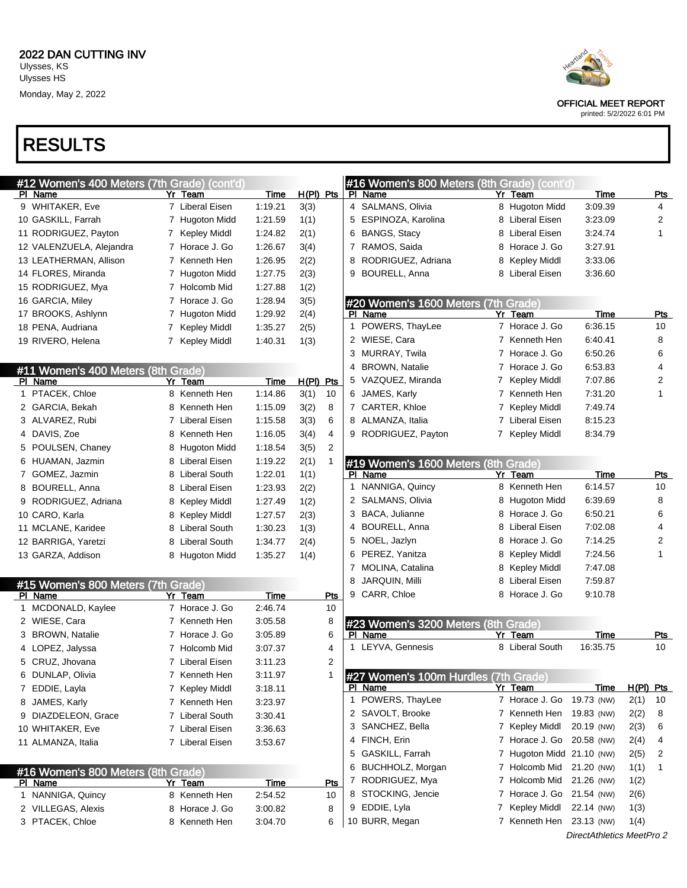## RESULTS

| #12 Women's 400 Meters (7th Grade) (cont'd)<br>PI Name | Yr Team         | Time        | $H(PI)$ Pts | #16 Women's 800 Meters (8th Grade) (cont'd)<br>PI Name | Yr Team                   | <b>Time</b>               |           | Pts            |
|--------------------------------------------------------|-----------------|-------------|-------------|--------------------------------------------------------|---------------------------|---------------------------|-----------|----------------|
| 9 WHITAKER, Eve                                        | 7 Liberal Eisen | 1:19.21     | 3(3)        | 4 SALMANS, Olivia                                      | 8 Hugoton Midd            | 3:09.39                   |           | 4              |
| 10 GASKILL, Farrah                                     | 7 Hugoton Midd  | 1:21.59     | 1(1)        | 5 ESPINOZA, Karolina                                   | 8 Liberal Eisen           | 3:23.09                   |           | $\overline{c}$ |
| 11 RODRIGUEZ, Payton                                   | 7 Kepley Middl  | 1:24.82     | 2(1)        | 6 BANGS, Stacy                                         | 8 Liberal Eisen           | 3:24.74                   |           | 1              |
| 12 VALENZUELA, Alejandra                               | 7 Horace J. Go  | 1:26.67     | 3(4)        | 7 RAMOS, Saida                                         | 8 Horace J. Go            | 3:27.91                   |           |                |
| 13 LEATHERMAN, Allison                                 | 7 Kenneth Hen   | 1:26.95     | 2(2)        | 8 RODRIGUEZ, Adriana                                   | 8 Kepley Middl            | 3:33.06                   |           |                |
| 14 FLORES, Miranda                                     | 7 Hugoton Midd  | 1:27.75     | 2(3)        | 9 BOURELL, Anna                                        | 8 Liberal Eisen           | 3:36.60                   |           |                |
| 15 RODRIGUEZ, Mya                                      | 7 Holcomb Mid   | 1:27.88     | 1(2)        |                                                        |                           |                           |           |                |
| 16 GARCIA, Miley                                       | 7 Horace J. Go  | 1:28.94     | 3(5)        | #20 Women's 1600 Meters (7th Grade)                    |                           |                           |           |                |
| 17 BROOKS, Ashlynn                                     | 7 Hugoton Midd  | 1:29.92     | 2(4)        | PI Name                                                | Yr Team                   | Time                      |           | Pts            |
| 18 PENA, Audriana                                      | 7 Kepley Middl  | 1:35.27     | 2(5)        | 1 POWERS, ThayLee                                      | 7 Horace J. Go            | 6:36.15                   |           | 10             |
| 19 RIVERO, Helena                                      | 7 Kepley Middl  | 1:40.31     | 1(3)        | 2 WIESE, Cara                                          | 7 Kenneth Hen             | 6:40.41                   |           | 8              |
|                                                        |                 |             |             | 3 MURRAY, Twila                                        | 7 Horace J. Go            | 6:50.26                   |           | 6              |
| #11 Women's 400 Meters (8th Grade)                     |                 |             |             | 4 BROWN, Natalie                                       | 7 Horace J. Go            | 6:53.83                   |           | 4              |
| PI Name                                                | Yr Team         | Time        | $H(PI)$ Pts | 5 VAZQUEZ, Miranda                                     | 7 Kepley Middl            | 7:07.86                   |           | 2              |
| 1 PTACEK, Chloe                                        | 8 Kenneth Hen   | 1:14.86     | 3(1)<br>10  | 6 JAMES, Karly                                         | 7 Kenneth Hen             | 7:31.20                   |           | 1              |
| 2 GARCIA, Bekah                                        | 8 Kenneth Hen   | 1:15.09     | 3(2)<br>8   | 7 CARTER, Khloe                                        | 7 Kepley Middl            | 7:49.74                   |           |                |
| 3 ALVAREZ, Rubi                                        | 7 Liberal Eisen | 1:15.58     | 3(3)<br>6   | 8 ALMANZA, Italia                                      | 7 Liberal Eisen           | 8:15.23                   |           |                |
| 4 DAVIS, Zoe                                           | 8 Kenneth Hen   | 1:16.05     | 3(4)<br>4   | 9 RODRIGUEZ, Payton                                    | 7 Kepley Middl            | 8:34.79                   |           |                |
| 5 POULSEN, Chaney                                      | 8 Hugoton Midd  | 1:18.54     | 3(5)<br>2   |                                                        |                           |                           |           |                |
| 6 HUAMAN, Jazmin                                       | 8 Liberal Eisen | 1:19.22     | 2(1)<br>1   | #19 Women's 1600 Meters (8th Grade)                    |                           |                           |           |                |
| 7 GOMEZ, Jazmin                                        | 8 Liberal South | 1:22.01     | 1(1)        | PI Name                                                | Yr Team                   | Time                      |           | <u>Pts</u>     |
| 8 BOURELL, Anna                                        | 8 Liberal Eisen | 1:23.93     | 2(2)        | 1 NANNIGA, Quincy                                      | 8 Kenneth Hen             | 6:14.57                   |           | 10             |
| RODRIGUEZ, Adriana<br>9                                | 8 Kepley Middl  | 1.27.49     | 1(2)        | 2 SALMANS, Olivia                                      | 8 Hugoton Midd            | 6:39.69                   |           | 8              |
| 10 CARO, Karla                                         | 8 Kepley Middl  | 1:27.57     | 2(3)        | 3 BACA, Julianne                                       | 8 Horace J. Go            | 6:50.21                   |           | 6              |
| 11 MCLANE, Karidee                                     | 8 Liberal South | 1:30.23     | 1(3)        | 4 BOURELL, Anna                                        | 8 Liberal Eisen           | 7:02.08                   |           | 4              |
| 12 BARRIGA, Yaretzi                                    | 8 Liberal South | 1:34.77     | 2(4)        | 5 NOEL, Jazlyn                                         | 8 Horace J. Go            | 7:14.25                   |           | 2              |
| 13 GARZA, Addison                                      | 8 Hugoton Midd  | 1:35.27     | 1(4)        | 6 PEREZ, Yanitza                                       | 8 Kepley Middl            | 7:24.56                   |           | 1              |
|                                                        |                 |             |             | 7 MOLINA, Catalina                                     | 8 Kepley Middl            | 7:47.08                   |           |                |
| #15 Women's 800 Meters (7th Grade)                     |                 |             |             | <b>JARQUIN, Milli</b><br>8                             | 8 Liberal Eisen           | 7:59.87                   |           |                |
| PI Name                                                | Yr Team         | Time        | Pts         | 9 CARR, Chloe                                          | 8 Horace J. Go            | 9:10.78                   |           |                |
| 1 MCDONALD, Kaylee                                     | 7 Horace J. Go  | 2.46.74     | 10          |                                                        |                           |                           |           |                |
| 2 WIESE, Cara                                          | 7 Kenneth Hen   | 3:05.58     | 8           | #23 Women's 3200 Meters (8th Grade)                    |                           |                           |           |                |
| 3 BROWN, Natalie                                       | 7 Horace J. Go  | 3:05.89     | 6           | PI Name                                                | Yr Team                   | <u>Time</u>               |           | <u>Pts</u>     |
| 4 LOPEZ, Jalyssa                                       | 7 Holcomb Mid   | 3:07.37     | 4           | 1 LEYVA, Gennesis                                      | 8 Liberal South           | 16:35.75                  |           | 10             |
| CRUZ, Jhovana                                          | 7 Liberal Eisen | 3:11.23     | 2           |                                                        |                           |                           |           |                |
| 6 DUNLAP, Olivia                                       | 7 Kenneth Hen   | 3:11.97     | 1           | #27 Women's 100m Hurdles (7th Grade)                   |                           |                           |           |                |
| 7 EDDIE, Layla                                         | 7 Kepley Middl  | 3:18.11     |             | PI Name                                                | Yr Team                   | <b>Time</b>               | H(PI) Pts |                |
| 8 JAMES, Karly                                         | 7 Kenneth Hen   | 3:23.97     |             | 1 POWERS, ThayLee                                      | 7 Horace J. Go            | 19.73 (NW)                | 2(1)      | 10             |
| 9 DIAZDELEON, Grace                                    | 7 Liberal South | 3:30.41     |             | 2 SAVOLT, Brooke                                       | 7 Kenneth Hen             | 19.83 (NW)                | 2(2)      | 8              |
| 10 WHITAKER, Eve                                       | 7 Liberal Eisen | 3:36.63     |             | 3 SANCHEZ, Bella                                       | 7 Kepley Middl            | 20.19 (NW)                | 2(3)      | 6              |
| 11 ALMANZA, Italia                                     | 7 Liberal Eisen | 3:53.67     |             | 4 FINCH, Erin                                          | 7 Horace J. Go            | 20.58 (NW)                | 2(4)      | 4              |
|                                                        |                 |             |             | 5 GASKILL, Farrah                                      | 7 Hugoton Midd 21.10 (NW) |                           | 2(5)      | 2              |
| #16 Women's 800 Meters (8th Grade)                     |                 |             |             | 6 BUCHHOLZ, Morgan                                     | 7 Holcomb Mid             | 21.20 (NW)                | 1(1)      | $\mathbf{1}$   |
| <b>PI Name</b>                                         | <u>Yr Team</u>  | <b>Time</b> | <u>Pts</u>  | 7 RODRIGUEZ, Mya                                       | 7 Holcomb Mid             | 21.26 (NW)                | 1(2)      |                |
| 1 NANNIGA, Quincy                                      | 8 Kenneth Hen   | 2:54.52     | 10          | 8 STOCKING, Jencie                                     | 7 Horace J. Go            | 21.54 (NW)                | 2(6)      |                |
| 2 VILLEGAS, Alexis                                     | 8 Horace J. Go  | 3:00.82     | 8           | 9 EDDIE, Lyla                                          | 7 Kepley Middl            | 22.14 (NW)                | 1(3)      |                |
| 3 PTACEK, Chloe                                        | 8 Kenneth Hen   | 3:04.70     | 6           | 10 BURR, Megan                                         | 7 Kenneth Hen             | 23.13 (NW)                | 1(4)      |                |
|                                                        |                 |             |             |                                                        |                           | DirectAthletics MeetPro 2 |           |                |



OFFICIAL MEET REPORT printed: 5/2/2022 6:01 PM

| PI Name                    | Yr Team         | Time    | Pts |
|----------------------------|-----------------|---------|-----|
| 1 POWERS, ThayLee          | 7 Horace J. Go  | 6:36.15 | 10  |
| 2 WIESE, Cara              | 7 Kenneth Hen   | 6:40.41 | 8   |
| 3 MURRAY, Twila            | 7 Horace J. Go  | 6.50.26 | 6   |
| 4 BROWN, Natalie           | 7 Horace J. Go  | 6.53.83 | 4   |
| 5 VAZQUEZ, Miranda         | 7 Kepley Middl  | 7:07.86 | 2   |
| 6 JAMES, Karly             | 7 Kenneth Hen   | 7:31.20 | 1   |
| 7 CARTER, Khloe            | 7 Kepley Middl  | 7:49.74 |     |
| 8 ALMANZA, Italia          | 7 Liberal Eisen | 8:15.23 |     |
| $\Omega$ DODDICLIEZ Douton | 7 Konlov Middl  | 9.2170  |     |

| PI Name            | Yr | Team            | Time    | Pts |
|--------------------|----|-----------------|---------|-----|
| 1 NANNIGA, Quincy  |    | 8 Kenneth Hen   | 6:14.57 | 10  |
| 2 SALMANS, Olivia  |    | 8 Hugoton Midd  | 6:39.69 | 8   |
| 3 BACA, Julianne   |    | 8 Horace J. Go  | 6:50.21 | 6   |
| 4 BOURELL, Anna    |    | 8 Liberal Eisen | 7:02.08 | 4   |
| 5 NOEL, Jazlyn     |    | 8 Horace J. Go  | 7:14.25 | 2   |
| 6 PEREZ, Yanitza   |    | 8 Kepley Middl  | 7:24.56 | 1   |
| 7 MOLINA, Catalina |    | 8 Kepley Middl  | 7:47.08 |     |
| 8 JARQUIN, Milli   |    | 8 Liberal Eisen | 7:59.87 |     |
| 9 CARR, Chloe      |    | 8 Horace J. Go  | 9:10.78 |     |

| #23 Women's 3200 Meters (8th Grade) |                                      |                 |          |     |  |  |  |  |  |  |
|-------------------------------------|--------------------------------------|-----------------|----------|-----|--|--|--|--|--|--|
|                                     | Name                                 | Yr Team         | Time     | Pts |  |  |  |  |  |  |
|                                     | 1 1 LEYVA, Gennesis                  | 8 Liberal South | 16:35.75 | 10  |  |  |  |  |  |  |
|                                     | #27 Women's 100m Hurdles (7th Grade) |                 |          |     |  |  |  |  |  |  |

| .                    | .                         | . |              |    |
|----------------------|---------------------------|---|--------------|----|
| 1 POWERS, ThayLee    | 7 Horace J. Go 19.73 (NW) |   | 2(1)         | 10 |
| 2 SAVOLT, Brooke     | 7 Kenneth Hen 19.83 (NW)  |   | 2(2)         | 8  |
| 3 SANCHEZ, Bella     | 7 Kepley Middl 20.19 (NW) |   | 2(3)         | -6 |
| 4 FINCH, Erin        | 7 Horace J. Go 20.58 (NW) |   | 2(4)         | 4  |
| 5 GASKILL, Farrah    | 7 Hugoton Midd 21.10 (NW) |   | 2(5)         | 2  |
| 6 BUCHHOLZ, Morgan   | 7 Holcomb Mid 21.20 (NW)  |   | 1(1)         | 1  |
| 7 RODRIGUEZ, Mya     | 7 Holcomb Mid 21.26 (NW)  |   | 1(2)         |    |
| 8 STOCKING, Jencie   | 7 Horace J. Go 21.54 (NW) |   | 2(6)         |    |
| 9 EDDIE, Lyla        | 7 Kepley Middl 22.14 (NW) |   | 1(3)         |    |
| $10$ DHDD $M_{OQON}$ | 7 Konnoth Hon 00.40 (MMA) |   | 1 <i>(A)</i> |    |

 $ro<sub>2</sub>$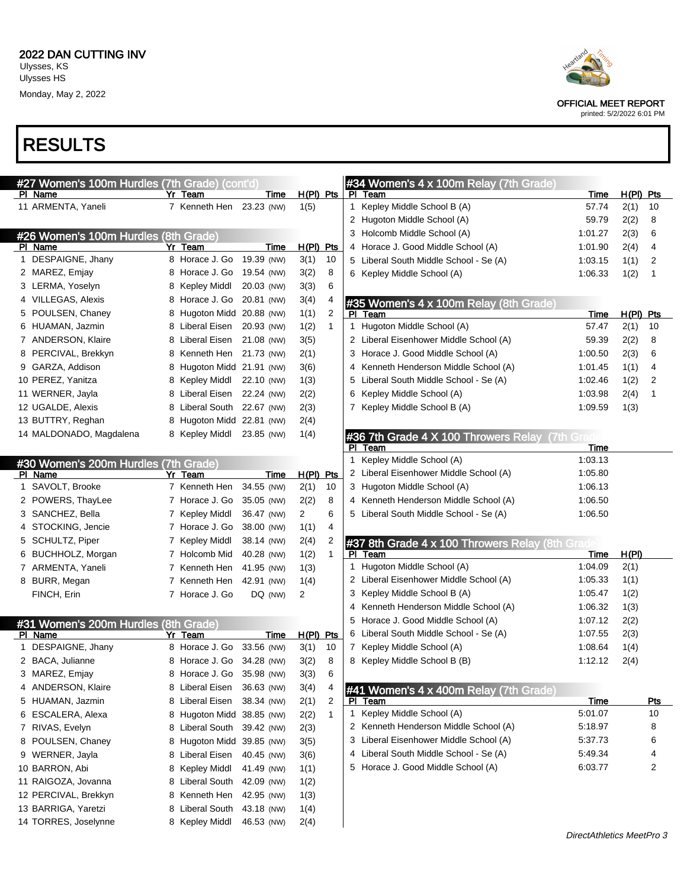

printed: 5/2/2022 6:01 PM

| #27 Women's 100m Hurdles (7th Grade) (cont'd) |                            |            |                |              | #34 Women's 4 x 100m Relay (7th Grade)          |                           |             |            |
|-----------------------------------------------|----------------------------|------------|----------------|--------------|-------------------------------------------------|---------------------------|-------------|------------|
| PI Name                                       | Yr Team                    | Time       | $H(PI)$ Pts    |              | PI Team                                         | Time                      | $H(PI)$ Pts |            |
| 11 ARMENTA, Yaneli                            | 7 Kenneth Hen 23.23 (NW)   |            | 1(5)           |              | 1 Kepley Middle School B (A)                    | 57.74                     | 2(1)        | 10         |
|                                               |                            |            |                |              | 2 Hugoton Middle School (A)                     | 59.79                     | 2(2)        | 8          |
| #26 Women's 100m Hurdles (8th Grade)          |                            |            |                |              | 3 Holcomb Middle School (A)                     | 1:01.27                   | 2(3)        | 6          |
| PI Name                                       | Yr Team                    | Time       | $H(PI)$ Pts    |              | 4 Horace J. Good Middle School (A)              | 1:01.90                   | 2(4)        | 4          |
| 1 DESPAIGNE, Jhany                            | 8 Horace J. Go 19.39 (NW)  |            | 3(1)           | 10           | 5 Liberal South Middle School - Se (A)          | 1:03.15                   | 1(1)        | 2          |
| 2 MAREZ, Emjay                                | 8 Horace J. Go 19.54 (NW)  |            | 3(2)           | 8            | 6 Kepley Middle School (A)                      | 1:06.33                   | 1(2)        | 1          |
| 3 LERMA, Yoselyn                              | 8 Kepley Middl             | 20.03 (NW) | 3(3)           | 6            |                                                 |                           |             |            |
| 4 VILLEGAS, Alexis                            | 8 Horace J. Go 20.81 (NW)  |            | 3(4)           | 4            | #35 Women's 4 x 100m Relay (8th Grade)          |                           |             |            |
| POULSEN, Chaney                               | 8 Hugoton Midd 20.88 (NW)  |            | 1(1)           | 2            | PI Team                                         | Time                      | $H(PI)$ Pts |            |
| 6 HUAMAN, Jazmin                              | 8 Liberal Eisen 20.93 (NW) |            | 1(2)           | 1            | 1 Hugoton Middle School (A)                     | 57.47                     | 2(1)        | 10         |
| 7 ANDERSON, Klaire                            | 8 Liberal Eisen 21.08 (NW) |            | 3(5)           |              | 2 Liberal Eisenhower Middle School (A)          | 59.39                     | 2(2)        | 8          |
| PERCIVAL, Brekkyn<br>8                        | 8 Kenneth Hen 21.73 (NW)   |            | 2(1)           |              | 3 Horace J. Good Middle School (A)              | 1:00.50                   | 2(3)        | 6          |
| 9 GARZA, Addison                              | 8 Hugoton Midd 21.91 (NW)  |            | 3(6)           |              | 4 Kenneth Henderson Middle School (A)           | 1:01.45                   | 1(1)        | 4          |
| 10 PEREZ, Yanitza                             | 8 Kepley Middl             | 22.10 (NW) | 1(3)           |              | 5 Liberal South Middle School - Se (A)          | 1:02.46                   | 1(2)        | 2          |
| 11 WERNER, Jayla                              | 8 Liberal Eisen 22.24 (NW) |            | 2(2)           |              | 6 Kepley Middle School (A)                      | 1:03.98                   | 2(4)        | 1          |
| 12 UGALDE, Alexis                             | 8 Liberal South 22.67 (NW) |            | 2(3)           |              | 7 Kepley Middle School B (A)                    | 1:09.59                   | 1(3)        |            |
| 13 BUTTRY, Reghan                             | 8 Hugoton Midd 22.81 (NW)  |            | 2(4)           |              |                                                 |                           |             |            |
| 14 MALDONADO, Magdalena                       | 8 Kepley Middl             | 23.85 (NW) | 1(4)           |              | #36 7th Grade 4 X 100 Throwers Relay (7th Grad  |                           |             |            |
|                                               |                            |            |                |              | PI Team                                         | Time                      |             |            |
| #30 Women's 200m Hurdles (7th Grade)          |                            |            |                |              | 1 Kepley Middle School (A)                      | 1:03.13                   |             |            |
| PI Name                                       | Yr Team                    | Time       | $H(PI)$ Pts    |              | 2 Liberal Eisenhower Middle School (A)          | 1:05.80                   |             |            |
| 1 SAVOLT, Brooke                              | 7 Kenneth Hen              | 34.55 (NW) | 2(1)           | 10           | 3 Hugoton Middle School (A)                     | 1:06.13                   |             |            |
| 2 POWERS, ThayLee                             | 7 Horace J. Go             | 35.05 (NW) | 2(2)           | 8            | 4 Kenneth Henderson Middle School (A)           | 1:06.50                   |             |            |
| 3 SANCHEZ, Bella                              | 7 Kepley Middl             | 36.47 (NW) | $\overline{2}$ | 6            | 5 Liberal South Middle School - Se (A)          | 1:06.50                   |             |            |
| 4 STOCKING, Jencie                            | 7 Horace J. Go             | 38.00 (NW) | 1(1)           | 4            |                                                 |                           |             |            |
| 5 SCHULTZ, Piper                              | 7 Kepley Middl             | 38.14 (NW) | 2(4)           | 2            | #37 8th Grade 4 x 100 Throwers Relay (8th Grade |                           |             |            |
| BUCHHOLZ, Morgan<br>6                         | 7 Holcomb Mid              | 40.28 (NW) | 1(2)           | $\mathbf{1}$ | PI Team                                         | <u>Time</u>               | H(PI)       |            |
| 7 ARMENTA, Yaneli                             | 7 Kenneth Hen              | 41.95 (NW) | 1(3)           |              | 1 Hugoton Middle School (A)                     | 1:04.09                   | 2(1)        |            |
| 8 BURR, Megan                                 | 7 Kenneth Hen 42.91 (NW)   |            | 1(4)           |              | 2 Liberal Eisenhower Middle School (A)          | 1:05.33                   | 1(1)        |            |
| FINCH, Erin                                   | 7 Horace J. Go             | DQ (NW)    | 2              |              | 3 Kepley Middle School B (A)                    | 1:05.47                   | 1(2)        |            |
|                                               |                            |            |                |              | 4 Kenneth Henderson Middle School (A)           | 1:06.32                   | 1(3)        |            |
| #31 Women's 200m Hurdles (8th Grade)          |                            |            |                |              | 5 Horace J. Good Middle School (A)              | 1:07.12                   | 2(2)        |            |
| PI Name                                       | Yr Team                    | Time       | $H(PI)$ Pts    |              | 6 Liberal South Middle School - Se (A)          | 1:07.55                   | 2(3)        |            |
| 1 DESPAIGNE, Jhany                            | 8 Horace J. Go             | 33.56 (NW) | 3(1)           | 10           | 7 Kepley Middle School (A)                      | 1:08.64                   | 1(4)        |            |
| 2 BACA, Julianne                              | 8 Horace J. Go 34.28 (NW)  |            | 3(2)           | 8            | 8 Kepley Middle School B (B)                    | 1:12.12                   | 2(4)        |            |
| 3 MAREZ, Emjay                                | 8 Horace J. Go 35.98 (NW)  |            | 3(3)           | 6            |                                                 |                           |             |            |
| 4 ANDERSON, Klaire                            | 8 Liberal Eisen 36.63 (NW) |            | 3(4)           | 4            | #41 Women's 4 x 400m Relay (7th Grade)          |                           |             |            |
| 5 HUAMAN, Jazmin                              | 8 Liberal Eisen            | 38.34 (NW) | 2(1)           | 2            | PI Team                                         | Time                      |             | <u>Pts</u> |
| 6 ESCALERA, Alexa                             | 8 Hugoton Midd 38.85 (NW)  |            | 2(2)           | $\mathbf{1}$ | 1 Kepley Middle School (A)                      | 5:01.07                   |             | 10         |
| 7 RIVAS, Evelyn                               | 8 Liberal South            | 39.42 (NW) | 2(3)           |              | 2 Kenneth Henderson Middle School (A)           | 5:18.97                   |             | 8          |
| 8 POULSEN, Chaney                             | 8 Hugoton Midd 39.85 (NW)  |            | 3(5)           |              | 3 Liberal Eisenhower Middle School (A)          | 5:37.73                   |             | 6          |
| 9 WERNER, Jayla                               | 8 Liberal Eisen            | 40.45 (NW) | 3(6)           |              | 4 Liberal South Middle School - Se (A)          | 5:49.34                   |             | 4          |
| 10 BARRON, Abi                                | 8 Kepley Middl             | 41.49 (NW) | 1(1)           |              | 5 Horace J. Good Middle School (A)              | 6:03.77                   |             | 2          |
| 11 RAIGOZA, Jovanna                           | 8 Liberal South            | 42.09 (NW) | 1(2)           |              |                                                 |                           |             |            |
| 12 PERCIVAL, Brekkyn                          | 8 Kenneth Hen              | 42.95 (NW) | 1(3)           |              |                                                 |                           |             |            |
| 13 BARRIGA, Yaretzi                           | 8 Liberal South            | 43.18 (NW) | 1(4)           |              |                                                 |                           |             |            |
| 14 TORRES, Joselynne                          | 8 Kepley Middl             | 46.53 (NW) | 2(4)           |              |                                                 |                           |             |            |
|                                               |                            |            |                |              |                                                 | DirectAthletics MeetPro 3 |             |            |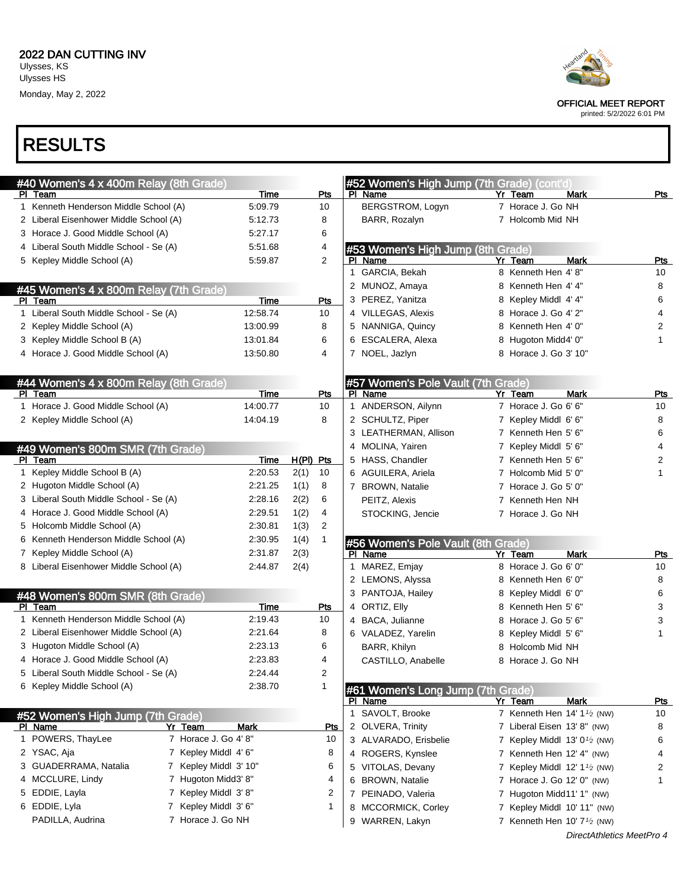

printed: 5/2/2022 6:01 PM

| #40 Women's 4 x 400m Relay (8th Grade)         |             |             |            | #52 Women's High Jump (7th Grade) (cont'd)    |                                                      |             |            |
|------------------------------------------------|-------------|-------------|------------|-----------------------------------------------|------------------------------------------------------|-------------|------------|
| PI Team                                        | Time        |             | Pts        | PI Name                                       | Yr Team                                              | Mark        | Pts        |
| 1 Kenneth Henderson Middle School (A)          | 5:09.79     |             | 10         | BERGSTROM, Logyn                              | 7 Horace J. Go NH                                    |             |            |
| 2 Liberal Eisenhower Middle School (A)         | 5:12.73     |             | 8          | BARR, Rozalyn                                 | 7 Holcomb Mid NH                                     |             |            |
| 3 Horace J. Good Middle School (A)             | 5:27.17     |             | 6          |                                               |                                                      |             |            |
| 4 Liberal South Middle School - Se (A)         | 5:51.68     |             | 4          | #53 Women's High Jump (8th Grade)             |                                                      |             |            |
| 5 Kepley Middle School (A)                     | 5.59.87     |             | 2          | PI Name                                       | Yr Team                                              | <b>Mark</b> | Pts        |
|                                                |             |             |            | 1 GARCIA, Bekah                               | 8 Kenneth Hen 4'8"                                   |             | 10         |
| #45 Women's 4 x 800m Relay (7th Grade)         |             |             |            | 2 MUNOZ, Amaya                                | 8 Kenneth Hen 4' 4"                                  |             | 8          |
| PI Team                                        | Time        |             | Pts        | 3 PEREZ, Yanitza                              | 8 Kepley Middl 4' 4"                                 |             | 6          |
| 1 Liberal South Middle School - Se (A)         | 12:58.74    |             | 10         | 4 VILLEGAS, Alexis                            | 8 Horace J. Go 4' 2"                                 |             | 4          |
| 2 Kepley Middle School (A)                     | 13:00.99    |             | 8          | 5 NANNIGA, Quincy                             | 8 Kenneth Hen 4' 0"                                  |             | 2          |
| 3 Kepley Middle School B (A)                   | 13:01.84    |             | 6          | 6 ESCALERA, Alexa                             | 8 Hugoton Midd4' 0"                                  |             | 1          |
| 4 Horace J. Good Middle School (A)             | 13:50.80    |             | 4          | 7 NOEL, Jazlyn                                | 8 Horace J. Go 3' 10"                                |             |            |
| #44 Women's 4 x 800m Relay (8th Grade)         |             |             |            | #57 Women's Pole Vault (7th Grade)            |                                                      |             |            |
| PI Team                                        | Time        |             | Pts        | PI Name                                       | Yr Team                                              | Mark        | Pts        |
| 1 Horace J. Good Middle School (A)             | 14:00.77    |             | 10         | 1 ANDERSON, Ailynn                            | 7 Horace J. Go 6' 6"                                 |             | 10         |
| 2 Kepley Middle School (A)                     | 14:04.19    |             | 8          | 2 SCHULTZ, Piper                              | 7 Kepley Middl 6' 6"                                 |             | 8          |
|                                                |             |             |            | 3 LEATHERMAN, Allison                         | 7 Kenneth Hen 5' 6"                                  |             | 6          |
| #49 Women's 800m SMR (7th Grade)               |             |             |            | 4 MOLINA, Yairen                              | 7 Kepley Middl 5' 6"                                 |             | 4          |
| PI Team                                        | Time        | $H(PI)$ Pts |            | 5 HASS, Chandler                              | 7 Kenneth Hen 5' 6"                                  |             | 2          |
| 1 Kepley Middle School B (A)                   | 2:20.53     | 2(1)        | 10         | 6 AGUILERA, Ariela                            | 7 Holcomb Mid 5' 0"                                  |             | 1          |
| 2 Hugoton Middle School (A)                    | 2:21.25     | 1(1)        | 8          | 7 BROWN, Natalie                              | 7 Horace J. Go 5' 0"                                 |             |            |
| 3 Liberal South Middle School - Se (A)         | 2:28.16     | 2(2)        | 6          | PEITZ, Alexis                                 | 7 Kenneth Hen NH                                     |             |            |
| 4 Horace J. Good Middle School (A)             | 2:29.51     | 1(2)        | 4          | STOCKING, Jencie                              | 7 Horace J. Go NH                                    |             |            |
|                                                |             |             |            |                                               |                                                      |             |            |
| 5 Holcomb Middle School (A)                    | 2:30.81     | 1(3)        | 2          |                                               |                                                      |             |            |
| 6 Kenneth Henderson Middle School (A)          | 2:30.95     | 1(4)        | 1          |                                               |                                                      |             |            |
| 7 Kepley Middle School (A)                     | 2:31.87     | 2(3)        |            | #56 Women's Pole Vault (8th Grade)<br>PI Name | Yr Team                                              | Mark        | Pts        |
| 8 Liberal Eisenhower Middle School (A)         | 2:44.87     | 2(4)        |            | MAREZ, Emjay<br>1                             | 8 Horace J. Go 6' 0"                                 |             | 10         |
|                                                |             |             |            | 2 LEMONS, Alyssa                              | 8 Kenneth Hen 6' 0"                                  |             | 8          |
|                                                |             |             |            | 3 PANTOJA, Hailey                             | 8 Kepley Middl 6' 0"                                 |             | 6          |
| #48 Women's 800m SMR (8th Grade)<br>PI Team    | Time        |             | Pts        | 4 ORTIZ, Elly                                 | 8 Kenneth Hen 5' 6"                                  |             | 3          |
| 1 Kenneth Henderson Middle School (A)          | 2:19.43     |             | 10         | 4 BACA, Julianne                              | 8 Horace J. Go 5' 6"                                 |             | 3          |
| 2 Liberal Eisenhower Middle School (A)         | 2:21.64     |             | 8          | 6 VALADEZ, Yarelin                            |                                                      |             | 1          |
| 3 Hugoton Middle School (A)                    | 2:23.13     |             | 6          |                                               | 8 Kepley Middl 5' 6"<br>8 Holcomb Mid NH             |             |            |
| 4 Horace J. Good Middle School (A)             | 2:23.83     |             | 4          | BARR, Khilyn                                  | 8 Horace J. Go NH                                    |             |            |
| 5 Liberal South Middle School - Se (A)         | 2:24.44     |             | 2          | CASTILLO, Anabelle                            |                                                      |             |            |
| 6 Kepley Middle School (A)                     | 2:38.70     |             | 1          | #61 Women's Long Jump (7th Grade)             |                                                      |             |            |
|                                                |             |             |            | PI Name                                       | Yr Team                                              | <b>Mark</b> | <u>Pts</u> |
| #52 Women's High Jump (7th Grade)              |             |             |            | 1 SAVOLT, Brooke                              | 7 Kenneth Hen $14' 11$ (NW)                          |             | 10         |
| Yr Team<br>PI Name                             | <b>Mark</b> |             | <u>Pts</u> | 2 OLVERA, Trinity                             | 7 Liberal Eisen 13' 8" (NW)                          |             | 8          |
| 7 Horace J. Go 4' 8"<br>1 POWERS, ThayLee      |             |             | 10         | 3 ALVARADO, Erisbelie                         | 7 Kepley Middl 13' 0 <sup>1/2</sup> (NW)             |             | 6          |
| 2 YSAC, Aja<br>7 Kepley Middl 4' 6"            |             |             | 8          | 4 ROGERS, Kynslee                             | 7 Kenneth Hen 12' 4" (NW)                            |             | 4          |
| 3 GUADERRAMA, Natalia<br>7 Kepley Middl 3' 10" |             |             | 6          | 5 VITOLAS, Devany                             | 7 Kepley Middl 12' 1 <sup>1</sup> /2 (NW)            |             | 2          |
| 4 MCCLURE, Lindy<br>7 Hugoton Midd3' 8"        |             |             | 4          | 6 BROWN, Natalie                              | 7 Horace J. Go 12' 0" (NW)                           |             | 1          |
| 7 Kepley Middl 3'8"<br>5 EDDIE, Layla          |             |             | 2          | 7 PEINADO, Valeria                            | 7 Hugoton Midd11' 1" (NW)                            |             |            |
| 6 EDDIE, Lyla<br>7 Kepley Middl 3' 6"          |             |             | 1          | 8 MCCORMICK, Corley                           | 7 Kepley Middl 10' 11" (NW)                          |             |            |
| 7 Horace J. Go NH<br>PADILLA, Audrina          |             |             |            | 9 WARREN, Lakyn                               | 7 Kenneth Hen 10' 7 <sup>1</sup> / <sub>2</sub> (NW) |             |            |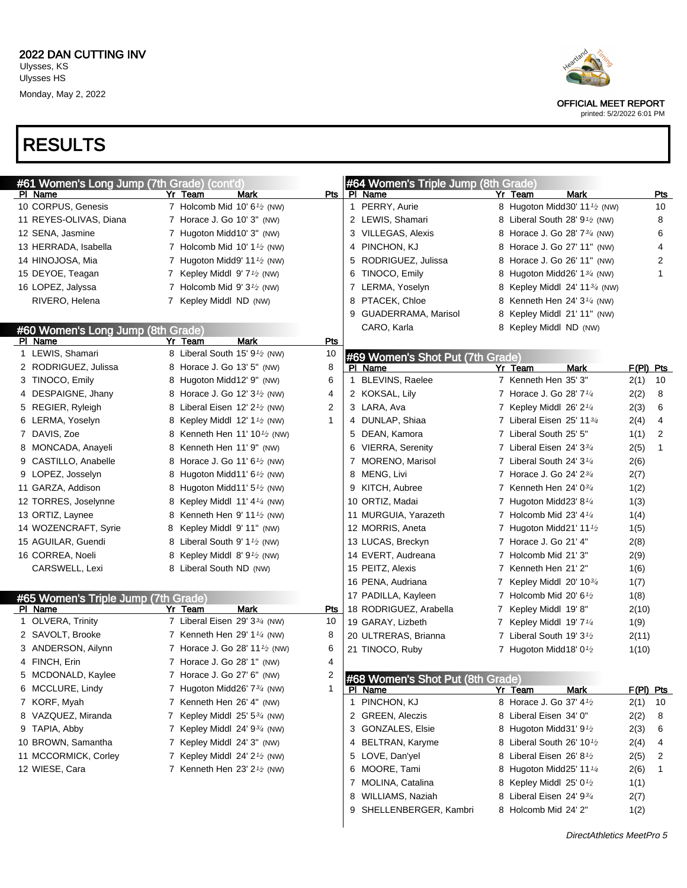

printed: 5/2/2022 6:01 PM

| #61 Women's Long Jump (7th Grade) (cont'd) |                                                        |            | #64 Women's Triple Jump (8th Grade) |   |                                                        |                           |                |
|--------------------------------------------|--------------------------------------------------------|------------|-------------------------------------|---|--------------------------------------------------------|---------------------------|----------------|
| PI Name                                    | Yr Team<br>Mark                                        | Pts I      | PI Name                             |   | <b>Mark</b><br>Yr Team                                 |                           | Pts            |
| 10 CORPUS, Genesis                         | 7 Holcomb Mid 10' 6 <sup>1</sup> / <sub>2</sub> (NW)   |            | 1 PERRY, Aurie                      |   | 8 Hugoton Midd30' 11 <sup>1/2</sup> (NW)               |                           | 10             |
| 11 REYES-OLIVAS, Diana                     | 7 Horace J. Go 10' 3" (NW)                             |            | 2 LEWIS, Shamari                    |   | 8 Liberal South 28' 9 <sup>1</sup> / <sub>2</sub> (NW) |                           | 8              |
| 12 SENA, Jasmine                           | 7 Hugoton Midd10' 3" (NW)                              |            | 3 VILLEGAS, Alexis                  |   | 8 Horace J. Go 28' 7 <sup>3</sup> / <sub>4</sub> (NW)  |                           | 6              |
| 13 HERRADA, Isabella                       | 7 Holcomb Mid 10' $1\frac{1}{2}$ (NW)                  |            | PINCHON, KJ<br>4                    |   | 8 Horace J. Go 27' 11" (NW)                            |                           | $\overline{4}$ |
| 14 HINOJOSA, Mia                           | 7 Hugoton Midd9' 11 $\frac{1}{2}$ (NW)                 |            | RODRIGUEZ, Julissa<br>5             |   | 8 Horace J. Go 26' 11" (NW)                            |                           | 2              |
| 15 DEYOE, Teagan                           | 7 Kepley Middl 9' 7 <sup>1</sup> / <sub>2</sub> (NW)   |            | TINOCO, Emily<br>6                  |   | 8 Hugoton Midd26' 1 <sup>3</sup> / <sub>4</sub> (NW)   |                           | 1              |
| 16 LOPEZ, Jalyssa                          | 7 Holcomb Mid 9' $3\frac{1}{2}$ (NW)                   |            | 7 LERMA, Yoselyn                    |   | 8 Kepley Middl 24' 11 <sup>3</sup> / <sub>4</sub> (NW) |                           |                |
| RIVERO, Helena                             | 7 Kepley Middl ND (NW)                                 |            | PTACEK, Chloe<br>8                  |   | 8 Kenneth Hen $24'3'4$ (NW)                            |                           |                |
|                                            |                                                        |            | GUADERRAMA, Marisol<br>9            |   | 8 Kepley Middl 21' 11" (NW)                            |                           |                |
| #60 Women's Long Jump (8th Grade)          |                                                        |            | CARO, Karla                         |   | 8 Kepley Middl ND (NW)                                 |                           |                |
| PI Name                                    | Yr Team<br>Mark                                        | <b>Pts</b> |                                     |   |                                                        |                           |                |
| 1 LEWIS, Shamari                           | 8 Liberal South 15' 9 <sup>1</sup> / <sub>2</sub> (NW) | 10         | #69 Women's Shot Put (7th Grade)    |   |                                                        |                           |                |
| 2 RODRIGUEZ, Julissa                       | 8 Horace J. Go 13' 5" (NW)                             | 8          | PI Name                             |   | <b>Mark</b><br>Yr Team                                 |                           | $F(PI)$ Pts    |
| 3 TINOCO, Emily                            | 8 Hugoton Midd12' 9" (NW)                              | 6          | 1 BLEVINS, Raelee                   |   | 7 Kenneth Hen 35' 3"                                   | 2(1)                      | 10             |
| 4 DESPAIGNE, Jhany                         | 8 Horace J. Go 12' 3 <sup>1</sup> / <sub>2</sub> (NW)  | 4          | 2 KOKSAL, Lily                      |   | 7 Horace J. Go 28' 7 <sup>1/4</sup>                    | 2(2)                      | 8              |
| 5 REGIER, Ryleigh                          | 8 Liberal Eisen 12' 2 <sup>1</sup> / <sub>2</sub> (NW) | 2          | 3 LARA, Ava                         |   | 7 Kepley Middl $26'2'4$                                | 2(3)                      | 6              |
| 6 LERMA, Yoselyn                           | 8 Kepley Middl $12' 11$ (NW)                           | 1          | 4 DUNLAP, Shiaa                     |   | 7 Liberal Eisen 25' 1134                               | 2(4)                      | 4              |
| 7 DAVIS, Zoe                               | 8 Kenneth Hen 11' 10 <sup>1</sup> / <sub>2</sub> (NW)  |            | 5 DEAN, Kamora                      |   | 7 Liberal South 25' 5"                                 | 1(1)                      | 2              |
| 8 MONCADA, Anayeli                         | 8 Kenneth Hen 11' 9" (NW)                              |            | 6 VIERRA, Serenity                  |   | 7 Liberal Eisen 24' 334                                | 2(5)                      | $\mathbf{1}$   |
| 9 CASTILLO, Anabelle                       | 8 Horace J. Go 11' 6 <sup>1</sup> / <sub>2</sub> (NW)  |            | 7 MORENO, Marisol                   |   | 7 Liberal South 24' 3 <sup>1/4</sup>                   | 2(6)                      |                |
| 9 LOPEZ, Josselyn                          | 8 Hugoton Midd11' 6 <sup>1</sup> / <sub>2</sub> (NW)   |            | 8 MENG, Livi                        |   | 7 Horace J. Go 24' 234                                 | 2(7)                      |                |
| 11 GARZA, Addison                          | 8 Hugoton Midd11' $5\frac{1}{2}$ (NW)                  |            | 9 KITCH, Aubree                     |   | 7 Kenneth Hen 24' 034                                  | 1(2)                      |                |
| 12 TORRES, Joselynne                       | 8 Kepley Middl 11' 4 <sup>1/4</sup> (NW)               |            | 10 ORTIZ, Madai                     |   | 7 Hugoton Midd23' 81/4                                 | 1(3)                      |                |
| 13 ORTIZ, Laynee                           | 8 Kenneth Hen 9' 11 $\frac{1}{2}$ (NW)                 |            | 11 MURGUIA, Yarazeth                |   | 7 Holcomb Mid 23' $4\frac{1}{4}$                       | 1(4)                      |                |
| 14 WOZENCRAFT, Syrie                       | 8 Kepley Middl 9' 11" (NW)                             |            | 12 MORRIS, Aneta                    |   | 7 Hugoton Midd21' 11 $\frac{1}{2}$                     | 1(5)                      |                |
| 15 AGUILAR, Guendi                         | 8 Liberal South 9' 1 <sup>1</sup> / <sub>2</sub> (NW)  |            | 13 LUCAS, Breckyn                   |   | 7 Horace J. Go 21' 4"                                  | 2(8)                      |                |
| 16 CORREA, Noeli                           | 8 Kepley Middl 8' 9 <sup>1</sup> / <sub>2</sub> (NW)   |            | 14 EVERT, Audreana                  |   | 7 Holcomb Mid 21' 3"                                   | 2(9)                      |                |
| CARSWELL, Lexi                             | 8 Liberal South ND (NW)                                |            | 15 PEITZ, Alexis                    |   | 7 Kenneth Hen 21' 2"                                   | 1(6)                      |                |
|                                            |                                                        |            | 16 PENA, Audriana                   | 7 | Kepley Middl 20' 103/4                                 | 1(7)                      |                |
| #65 Women's Triple Jump (7th Grade)        |                                                        |            | 17 PADILLA, Kayleen                 |   | 7 Holcomb Mid 20' 6 $\frac{1}{2}$                      | 1(8)                      |                |
| PI Name                                    | Mark<br>Yr Team                                        | Pts        | 18 RODRIGUEZ, Arabella              |   | 7 Kepley Middl 19'8"                                   | 2(10)                     |                |
| 1 OLVERA, Trinity                          | 7 Liberal Eisen 29' 33/4 (NW)                          | 10         | 19 GARAY, Lizbeth                   |   | 7 Kepley Middl 19' 7 <sup>1/4</sup>                    | 1(9)                      |                |
| 2 SAVOLT, Brooke                           | 7 Kenneth Hen 29' $1\frac{1}{4}$ (NW)                  | 8          | 20 ULTRERAS, Brianna                |   | 7 Liberal South 19' 3 <sup>1</sup> /2                  | 2(11)                     |                |
| 3 ANDERSON, Ailynn                         | 7 Horace J. Go 28' 11 <sup>1</sup> / <sub>2</sub> (NW) | 6          | 21 TINOCO, Ruby                     |   | 7 Hugoton Midd18' $0\frac{1}{2}$                       | 1(10)                     |                |
| 4 FINCH, Erin                              | 7 Horace J. Go 28' 1" (NW)                             | 4          |                                     |   |                                                        |                           |                |
| 5 MCDONALD, Kaylee                         | 7 Horace J. Go 27' 6" (NW)                             |            | #68 Women's Shot Put (8th Grade)    |   |                                                        |                           |                |
| 6 MCCLURE, Lindy                           | 7 Hugoton Midd26' $7\frac{3}{4}$ (NW)                  | 1          | PI Name                             |   | Mark<br>Yr Team                                        |                           | $F(PI)$ Pts    |
| 7 KORF, Myah                               | 7 Kenneth Hen 26' 4" (NW)                              |            | 1 PINCHON, KJ                       |   | 8 Horace J. Go 37' 4 <sup>1</sup> / <sub>2</sub>       | 2(1)                      | 10             |
| 8 VAZQUEZ, Miranda                         | 7 Kepley Middl 25' 53/4 (NW)                           |            | 2 GREEN, Aleczis                    |   | 8 Liberal Eisen 34' 0"                                 | 2(2)                      | 8              |
| 9 TAPIA, Abby                              | 7 Kepley Middl 24' 93/4 (NW)                           |            | 3 GONZALES, Elsie                   |   | 8 Hugoton Midd31' 91/2                                 | 2(3)                      | 6              |
| 10 BROWN, Samantha                         | 7 Kepley Middl 24' 3" (NW)                             |            | 4 BELTRAN, Karyme                   |   | 8 Liberal South 26' 10 $\frac{1}{2}$                   | 2(4)                      | 4              |
| 11 MCCORMICK, Corley                       | 7 Kepley Middl 24' 2 <sup>1</sup> / <sub>2</sub> (NW)  |            | 5 LOVE, Dan'yel                     |   | 8 Liberal Eisen 26' 8 <sup>1</sup> /2                  | 2(5)                      | 2              |
| 12 WIESE, Cara                             | 7 Kenneth Hen 23' $2\frac{1}{2}$ (NW)                  |            | 6 MOORE, Tami                       |   | 8 Hugoton Midd25' 11 1/4                               | 2(6)                      | 1              |
|                                            |                                                        |            | 7 MOLINA, Catalina                  |   | 8 Kepley Middl 25' 01/2                                | 1(1)                      |                |
|                                            |                                                        |            | 8 WILLIAMS, Naziah                  |   | 8 Liberal Eisen 24' 934                                | 2(7)                      |                |
|                                            |                                                        |            | SHELLENBERGER, Kambri<br>9          |   | 8 Holcomb Mid 24' 2"                                   | 1(2)                      |                |
|                                            |                                                        |            |                                     |   |                                                        |                           |                |
|                                            |                                                        |            |                                     |   |                                                        | DirectAthletics MeetPro 5 |                |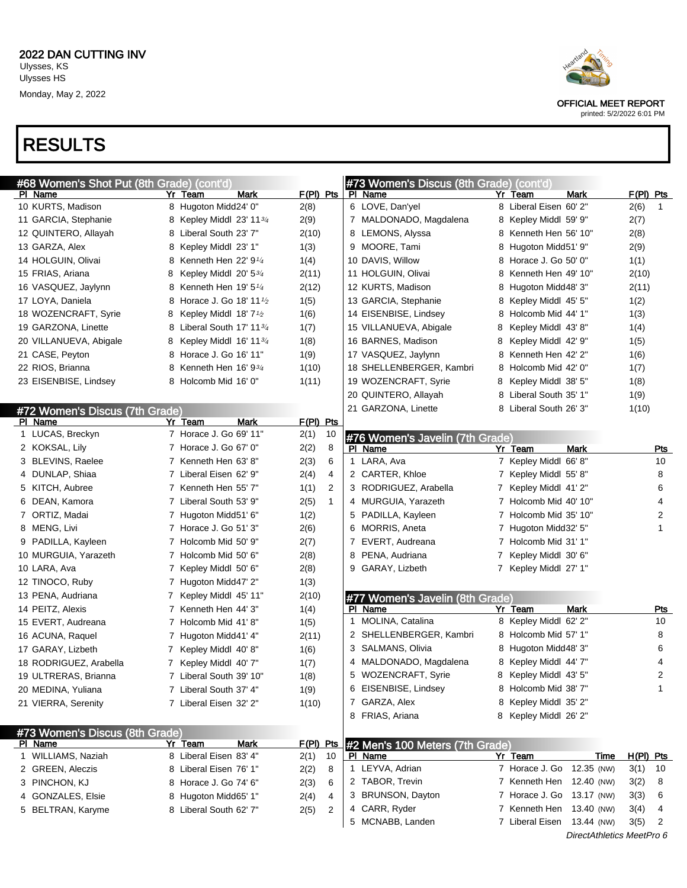

printed: 5/2/2022 6:01 PM

| #68 Women's Shot Put (8th Grade) (cont'd) |                                         |                      | #73 Women's Discus (8th Grade) (cont'd)    |                            |                           |
|-------------------------------------------|-----------------------------------------|----------------------|--------------------------------------------|----------------------------|---------------------------|
| <u>PI Name</u>                            | <b>Mark</b><br>Yr Team                  | $F(PI)$ Pts          | PI Name                                    | Mark<br>Yr Team            | $F(PI)$ Pts               |
| 10 KURTS, Madison                         | 8 Hugoton Midd24' 0"                    | 2(8)                 | 6 LOVE, Dan'yel                            | 8 Liberal Eisen 60' 2"     | 2(6)<br>$\mathbf{1}$      |
| 11 GARCIA, Stephanie                      | 8 Kepley Middl 23' 1134                 | 2(9)                 | 7 MALDONADO, Magdalena                     | 8 Kepley Middl 59' 9"      | 2(7)                      |
| 12 QUINTERO, Allayah                      | 8 Liberal South 23' 7"                  | 2(10)                | 8 LEMONS, Alyssa                           | 8 Kenneth Hen 56' 10"      | 2(8)                      |
| 13 GARZA, Alex                            | Kepley Middl 23' 1"<br>8                | 1(3)                 | 9 MOORE, Tami                              | Hugoton Midd51' 9"<br>8    | 2(9)                      |
| 14 HOLGUIN, Olivai                        | Kenneth Hen 22' $91/4$<br>8             | 1(4)                 | 10 DAVIS, Willow                           | 8 Horace J. Go 50' 0"      | 1(1)                      |
| 15 FRIAS, Ariana                          | Kepley Middl $20'$ 5 $\frac{3}{4}$<br>8 | 2(11)                | 11 HOLGUIN, Olivai                         | Kenneth Hen 49' 10"<br>8   | 2(10)                     |
| 16 VASQUEZ, Jaylynn                       | Kenneth Hen $19'5''4$<br>8              | 2(12)                | 12 KURTS, Madison                          | Hugoton Midd48' 3"<br>8    | 2(11)                     |
| 17 LOYA, Daniela                          | Horace J. Go 18' 11 $\frac{1}{2}$<br>8  | 1(5)                 | 13 GARCIA, Stephanie                       | 8 Kepley Middl 45' 5"      | 1(2)                      |
| 18 WOZENCRAFT, Syrie                      | Kepley Middl $18'7'2$<br>8              | 1(6)                 | 14 EISENBISE, Lindsey                      | Holcomb Mid 44' 1"         | 1(3)                      |
| 19 GARZONA, Linette                       | Liberal South 17' 1134<br>8             | 1(7)                 | 15 VILLANUEVA, Abigale                     | Kepley Middl 43' 8"<br>8   | 1(4)                      |
| 20 VILLANUEVA, Abigale                    | Kepley Middl 16' 113/4<br>8             | 1(8)                 | 16 BARNES, Madison                         | Kepley Middl 42' 9"<br>8   | 1(5)                      |
| 21 CASE, Peyton                           | Horace J. Go 16' 11"<br>8               | 1(9)                 | 17 VASQUEZ, Jaylynn                        | Kenneth Hen 42' 2"<br>8    | 1(6)                      |
| 22 RIOS, Brianna                          | Kenneth Hen $16' 93/4$<br>8             | 1(10)                | 18 SHELLENBERGER, Kambri                   | Holcomb Mid 42' 0"<br>8    | 1(7)                      |
| 23 EISENBISE, Lindsey                     | 8 Holcomb Mid 16' 0"                    | 1(11)                | 19 WOZENCRAFT, Syrie                       | Kepley Middl 38' 5"<br>8.  | 1(8)                      |
|                                           |                                         |                      | 20 QUINTERO, Allayah                       | Liberal South 35' 1"<br>8  | 1(9)                      |
| #72 Women's Discus (7th Grade)            |                                         |                      | 21 GARZONA, Linette                        | 8 Liberal South 26' 3"     | 1(10)                     |
| PI Name                                   | Yr Team<br>Mark                         | F(PI) Pts            |                                            |                            |                           |
| 1 LUCAS, Breckyn                          | 7 Horace J. Go 69' 11"                  | 2(1)<br>10           | #76 Women's Javelin (7th Grade)            |                            |                           |
| 2 KOKSAL, Lily                            | 7 Horace J. Go 67' 0"                   | 8<br>2(2)            | PI Name                                    | Yr Team<br><b>Mark</b>     | Pts                       |
| 3 BLEVINS, Raelee                         | 7 Kenneth Hen 63' 8"                    | 2(3)<br>6            | 1 LARA, Ava                                | 7 Kepley Middl 66' 8"      | 10                        |
| 4 DUNLAP, Shiaa                           | 7 Liberal Eisen 62' 9"                  | 4<br>2(4)            | 2 CARTER, Khloe                            | 7 Kepley Middl 55'8"       | 8                         |
| 5 KITCH, Aubree                           | 7 Kenneth Hen 55' 7"                    | 2<br>1(1)            | 3 RODRIGUEZ, Arabella                      | 7 Kepley Middl 41'2"       | 6                         |
| 6 DEAN, Kamora                            | 7 Liberal South 53' 9"                  | 2(5)<br>$\mathbf{1}$ | 4 MURGUIA, Yarazeth                        | 7 Holcomb Mid 40' 10"      | 4                         |
| 7 ORTIZ, Madai                            | 7 Hugoton Midd51' 6"                    | 1(2)                 | 5 PADILLA, Kayleen                         | 7 Holcomb Mid 35' 10"      | 2                         |
| 8 MENG, Livi                              | 7 Horace J. Go 51' 3"                   | 2(6)                 | 6 MORRIS, Aneta                            | 7 Hugoton Midd32' 5"       | 1                         |
| 9 PADILLA, Kayleen                        | 7 Holcomb Mid 50' 9"                    | 2(7)                 | EVERT, Audreana<br>7                       | 7 Holcomb Mid 31' 1"       |                           |
| 10 MURGUIA, Yarazeth                      | 7 Holcomb Mid 50' 6"                    | 2(8)                 | 8 PENA, Audriana                           | Kepley Middl 30' 6"<br>7   |                           |
| 10 LARA, Ava                              | 7 Kepley Middl 50' 6"                   | 2(8)                 | 9 GARAY, Lizbeth                           | 7 Kepley Middl 27' 1"      |                           |
| 12 TINOCO, Ruby                           | 7 Hugoton Midd47' 2"                    | 1(3)                 |                                            |                            |                           |
| 13 PENA, Audriana                         | 7 Kepley Middl 45' 11"                  | 2(10)                | #77 Women's Javelin (8th Grade)            |                            |                           |
| 14 PEITZ, Alexis                          | 7 Kenneth Hen 44' 3"                    | 1(4)                 | PI Name                                    | Yr Team<br>Mark            | <u>Pts</u>                |
| 15 EVERT, Audreana                        | 7 Holcomb Mid 41'8"                     | 1(5)                 | MOLINA, Catalina<br>1                      | 8 Kepley Middl 62' 2"      | 10                        |
| 16 ACUNA, Raquel                          | 7 Hugoton Midd41' 4"                    | 2(11)                | 2 SHELLENBERGER, Kambri                    | 8 Holcomb Mid 57' 1"       | 8                         |
| 17 GARAY, Lizbeth                         | Kepley Middl 40'8"                      | 1(6)                 | 3 SALMANS, Olivia                          | 8 Hugoton Midd48' 3"       | 6                         |
| 18 RODRIGUEZ, Arabella                    | 7 Kepley Middl 40' 7"                   | 1(7)                 | 4 MALDONADO, Magdalena                     | 8 Kepley Middl 44' 7"      | 4                         |
| 19 ULTRERAS, Brianna                      | 7 Liberal South 39' 10"                 | 1(8)                 | 5 WOZENCRAFT, Syrie                        | 8 Kepley Middl 43' 5"      | 2                         |
| 20 MEDINA, Yuliana                        | 7 Liberal South 37' 4"                  | 1(9)                 | 6 EISENBISE, Lindsey                       | 8 Holcomb Mid 38' 7"       | 1                         |
| 21 VIERRA, Serenity                       | 7 Liberal Eisen 32' 2"                  | 1(10)                | 7 GARZA, Alex                              | 8 Kepley Middl 35' 2"      |                           |
|                                           |                                         |                      | 8 FRIAS, Ariana                            | 8 Kepley Middl 26' 2"      |                           |
|                                           |                                         |                      |                                            |                            |                           |
| #73 Women's Discus (8th Grade)<br>PI Name | Mark<br>Yr Team                         | $F(PI)$ Pts          |                                            |                            |                           |
| 1 WILLIAMS, Naziah                        | 8 Liberal Eisen 83' 4"                  | 10<br>2(1)           | #2 Men's 100 Meters (7th Grade)<br>PI Name | <b>Time</b><br>Yr Team     | H(PI) Pts                 |
| 2 GREEN, Aleczis                          | 8 Liberal Eisen 76' 1"                  | 2(2)<br>8            | 1 LEYVA, Adrian                            | 7 Horace J. Go 12.35 (NW)  | 3(1)<br>10                |
| 3 PINCHON, KJ                             | 8 Horace J. Go 74' 6"                   | 2(3)<br>6            | 2 TABOR, Trevin                            | 7 Kenneth Hen 12.40 (NW)   | 3(2)<br>8                 |
| 4 GONZALES, Elsie                         | 8 Hugoton Midd65' 1"                    | 2(4)<br>4            | 3 BRUNSON, Dayton                          | 7 Horace J. Go 13.17 (NW)  | 3(3)<br>6                 |
| 5 BELTRAN, Karyme                         | 8 Liberal South 62' 7"                  | 2<br>2(5)            | 4 CARR, Ryder                              | 7 Kenneth Hen 13.40 (NW)   | 3(4)<br>4                 |
|                                           |                                         |                      | 5 MCNABB, Landen                           | 7 Liberal Eisen 13.44 (NW) | 3(5)<br>2                 |
|                                           |                                         |                      |                                            |                            | DirectAthletics MeetPro 6 |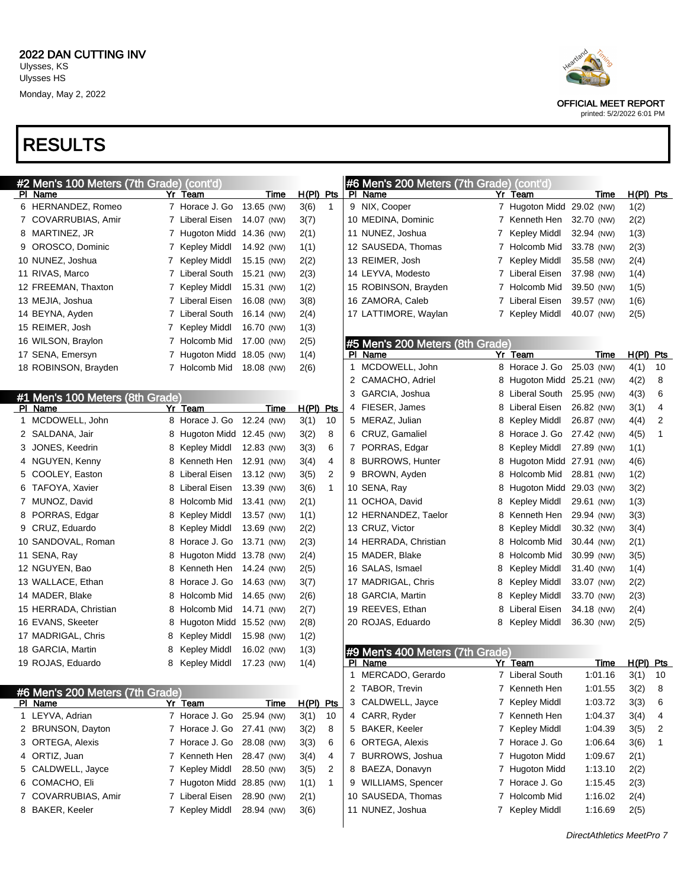## RESULTS

| #2 Men's 100 Meters (7th Grade) (cont'd)   |   |                           |            |             |              |   | #6 Men's 200 Meters (7th Grade) (cont'd) |    |                           |            |             |    |
|--------------------------------------------|---|---------------------------|------------|-------------|--------------|---|------------------------------------------|----|---------------------------|------------|-------------|----|
| PI Name                                    |   | Yr Team                   | Time       | H(PI) Pts   |              |   | PI Name                                  |    | Yr Team                   | Time       | $H(PI)$ Pts |    |
| 6 HERNANDEZ, Romeo                         |   | 7 Horace J. Go            | 13.65 (NW) | 3(6)        | $\mathbf{1}$ |   | 9 NIX, Cooper                            |    | 7 Hugoton Midd 29.02 (NW) |            | 1(2)        |    |
| 7 COVARRUBIAS, Amir                        |   | 7 Liberal Eisen           | 14.07 (NW) | 3(7)        |              |   | 10 MEDINA, Dominic                       |    | 7 Kenneth Hen             | 32.70 (NW) | 2(2)        |    |
| 8 MARTINEZ, JR                             |   | 7 Hugoton Midd            | 14.36 (NW) | 2(1)        |              |   | 11 NUNEZ, Joshua                         | 7  | Kepley Middl              | 32.94 (NW) | 1(3)        |    |
| 9 OROSCO, Dominic                          |   | 7 Kepley Middl            | 14.92 (NW) | 1(1)        |              |   | 12 SAUSEDA, Thomas                       |    | 7 Holcomb Mid             | 33.78 (NW) | 2(3)        |    |
| 10 NUNEZ, Joshua                           |   | 7 Kepley Middl            | 15.15 (NW) | 2(2)        |              |   | 13 REIMER, Josh                          | 7  | Kepley Middl              | 35.58 (NW) | 2(4)        |    |
| 11 RIVAS, Marco                            |   | 7 Liberal South           | 15.21 (NW) | 2(3)        |              |   | 14 LEYVA, Modesto                        |    | 7 Liberal Eisen           | 37.98 (NW) | 1(4)        |    |
| 12 FREEMAN, Thaxton                        |   | 7 Kepley Middl            | 15.31 (NW) | 1(2)        |              |   | 15 ROBINSON, Brayden                     |    | 7 Holcomb Mid             | 39.50 (NW) | 1(5)        |    |
| 13 MEJIA, Joshua                           |   | 7 Liberal Eisen           | 16.08 (NW) | 3(8)        |              |   | 16 ZAMORA, Caleb                         |    | 7 Liberal Eisen           | 39.57 (NW) | 1(6)        |    |
| 14 BEYNA, Ayden                            |   | 7 Liberal South           | 16.14 (NW) | 2(4)        |              |   | 17 LATTIMORE, Waylan                     |    | 7 Kepley Middl            | 40.07 (NW) | 2(5)        |    |
| 15 REIMER, Josh                            |   | 7 Kepley Middl            | 16.70 (NW) | 1(3)        |              |   |                                          |    |                           |            |             |    |
| 16 WILSON, Braylon                         |   | 7 Holcomb Mid             | 17.00 (NW) | 2(5)        |              |   | #5 Men's 200 Meters (8th Grade)          |    |                           |            |             |    |
| 17 SENA, Emersyn                           |   | 7 Hugoton Midd            | 18.05 (NW) | 1(4)        |              |   | PI Name                                  |    | Yr Team                   | Time       | $H(PI)$ Pts |    |
| 18 ROBINSON, Brayden                       |   | 7 Holcomb Mid             | 18.08 (NW) | 2(6)        |              |   | 1 MCDOWELL, John                         |    | 8 Horace J. Go            | 25.03 (NW) | 4(1)        | 10 |
|                                            |   |                           |            |             |              |   | 2 CAMACHO, Adriel                        |    | 8 Hugoton Midd 25.21 (NW) |            | 4(2)        | 8  |
| #1 Men's 100 Meters (8th Grade)            |   |                           |            |             |              | 3 | GARCIA, Joshua                           |    | 8 Liberal South           | 25.95 (NW) | 4(3)        | 6  |
| PI Name                                    |   | Yr Team                   | Time       | H(PI) Pts   |              |   | 4 FIESER, James                          | 8  | Liberal Eisen             | 26.82 (NW) | 3(1)        | 4  |
| 1 MCDOWELL, John                           |   | 8 Horace J. Go 12.24 (NW) |            | 3(1)        | 10           |   | 5 MERAZ, Julian                          | 8  | Kepley Middl              | 26.87 (NW) | 4(4)        | 2  |
| 2 SALDANA, Jair                            |   | 8 Hugoton Midd 12.45 (NW) |            | 3(2)        | 8            |   | 6 CRUZ, Gamaliel                         | 8  | Horace J. Go              | 27.42 (NW) | 4(5)        | 1  |
| 3 JONES, Keedrin                           |   | 8 Kepley Middl            | 12.83 (NW) | 3(3)        | 6            |   | 7 PORRAS, Edgar                          | 8  | Kepley Middl              | 27.89 (NW) | 1(1)        |    |
| 4 NGUYEN, Kenny                            |   | 8 Kenneth Hen             | 12.91 (NW) | 3(4)        | 4            |   | 8 BURROWS, Hunter                        | 8  | Hugoton Midd 27.91 (NW)   |            | 4(6)        |    |
| 5 COOLEY, Easton                           |   | 8 Liberal Eisen           | 13.12 (NW) | 3(5)        | 2            |   | 9 BROWN, Ayden                           | 8  | Holcomb Mid               | 28.81 (NW) | 1(2)        |    |
| 6 TAFOYA, Xavier                           |   | 8 Liberal Eisen           | 13.39 (NW) | 3(6)        | $\mathbf{1}$ |   | 10 SENA, Ray                             | 8  | Hugoton Midd 29.03 (NW)   |            | 3(2)        |    |
| 7 MUNOZ, David                             |   | 8 Holcomb Mid             | 13.41 (NW) | 2(1)        |              |   | 11 OCHOA, David                          | 8  | Kepley Middl              | 29.61 (NW) | 1(3)        |    |
| 8 PORRAS, Edgar                            |   | 8 Kepley Middl            | 13.57 (NW) | 1(1)        |              |   | 12 HERNANDEZ, Taelor                     | 8  | Kenneth Hen               | 29.94 (NW) | 3(3)        |    |
| 9 CRUZ, Eduardo                            |   | 8 Kepley Middl            | 13.69 (NW) | 2(2)        |              |   | 13 CRUZ, Victor                          | 8  | Kepley Middl              | 30.32 (NW) | 3(4)        |    |
| 10 SANDOVAL, Roman                         |   | 8 Horace J. Go            | 13.71 (NW) | 2(3)        |              |   | 14 HERRADA, Christian                    | 8  | Holcomb Mid               | 30.44 (NW) | 2(1)        |    |
| 11 SENA, Ray                               |   | 8 Hugoton Midd 13.78 (NW) |            | 2(4)        |              |   | 15 MADER, Blake                          | 8  | Holcomb Mid               | 30.99 (NW) | 3(5)        |    |
| 12 NGUYEN, Bao                             |   | 8 Kenneth Hen             | 14.24 (NW) | 2(5)        |              |   | 16 SALAS, Ismael                         | 8  | Kepley Middl              | 31.40 (NW) | 1(4)        |    |
| 13 WALLACE, Ethan                          |   | 8 Horace J. Go            | 14.63 (NW) | 3(7)        |              |   | 17 MADRIGAL, Chris                       | 8  | Kepley Middl              | 33.07 (NW) | 2(2)        |    |
| 14 MADER, Blake                            |   | 8 Holcomb Mid             | 14.65 (NW) | 2(6)        |              |   | 18 GARCIA, Martin                        | 8  | <b>Kepley Middl</b>       | 33.70 (NW) | 2(3)        |    |
| 15 HERRADA, Christian                      |   | 8 Holcomb Mid             | 14.71 (NW) | 2(7)        |              |   | 19 REEVES, Ethan                         | 8  | Liberal Eisen             | 34.18 (NW) | 2(4)        |    |
| 16 EVANS, Skeeter                          | 8 | Hugoton Midd 15.52 (NW)   |            | 2(8)        |              |   | 20 ROJAS, Eduardo                        | 8. | Kepley Middl              | 36.30 (NW) | 2(5)        |    |
| 17 MADRIGAL, Chris                         | 8 | Kepley Middl              | 15.98 (NW) | 1(2)        |              |   |                                          |    |                           |            |             |    |
| 18 GARCIA, Martin                          | 8 | Kepley Middl              | 16.02 (NW) | 1(3)        |              |   | #9 Men's 400 Meters (7th Grade)          |    |                           |            |             |    |
| 19 ROJAS, Eduardo                          | 8 | Kepley Middl              | 17.23 (NW) | 1(4)        |              |   | PI Name                                  |    | Yr Team                   | Time       | $H(PI)$ Pts |    |
|                                            |   |                           |            |             |              |   | MERCADO, Gerardo                         |    | 7 Liberal South           | 1:01.16    | 3(1)        | 10 |
|                                            |   |                           |            |             |              |   | 2 TABOR, Trevin                          |    | 7 Kenneth Hen             | 1:01.55    | 3(2)        | 8  |
| #6 Men's 200 Meters (7th Grade)<br>PI Name |   | Yr Team                   | Time       | $H(PI)$ Pts |              |   | 3 CALDWELL, Jayce                        |    | 7 Kepley Middl            | 1:03.72    | 3(3)        | 6  |
| 1 LEYVA, Adrian                            |   | 7 Horace J. Go            | 25.94 (NW) | 3(1)        | 10           |   | 4 CARR, Ryder                            |    | 7 Kenneth Hen             | 1:04.37    | 3(4)        | 4  |
| 2 BRUNSON, Dayton                          |   | 7 Horace J. Go            | 27.41 (NW) | 3(2)        | 8            |   | 5 BAKER, Keeler                          |    | 7 Kepley Middl            | 1:04.39    | 3(5)        | 2  |
| 3 ORTEGA, Alexis                           |   | 7 Horace J. Go            | 28.08 (NW) | 3(3)        | 6            |   | 6 ORTEGA, Alexis                         |    | 7 Horace J. Go            | 1:06.64    | 3(6)        | 1  |
| 4 ORTIZ, Juan                              |   | 7 Kenneth Hen             | 28.47 (NW) | 3(4)        | 4            |   | 7 BURROWS, Joshua                        |    | 7 Hugoton Midd            | 1:09.67    | 2(1)        |    |
| 5 CALDWELL, Jayce                          |   | 7 Kepley Middl            | 28.50 (NW) | 3(5)        | 2            |   | 8 BAEZA, Donavyn                         |    | 7 Hugoton Midd            | 1:13.10    | 2(2)        |    |
| 6 COMACHO, Eli                             |   | 7 Hugoton Midd            | 28.85 (NW) | 1(1)        | $\mathbf{1}$ |   | 9 WILLIAMS, Spencer                      |    | 7 Horace J. Go            | 1:15.45    | 2(3)        |    |
| 7 COVARRUBIAS, Amir                        |   | 7 Liberal Eisen           | 28.90 (NW) | 2(1)        |              |   | 10 SAUSEDA, Thomas                       |    | 7 Holcomb Mid             | 1:16.02    | 2(4)        |    |
| 8 BAKER, Keeler                            |   | 7 Kepley Middl            | 28.94 (NW) | 3(6)        |              |   | 11 NUNEZ, Joshua                         |    | 7 Kepley Middl            | 1:16.69    | 2(5)        |    |
|                                            |   |                           |            |             |              |   |                                          |    |                           |            |             |    |



OFFICIAL MEET REPORT

printed: 5/2/2022 6:01 PM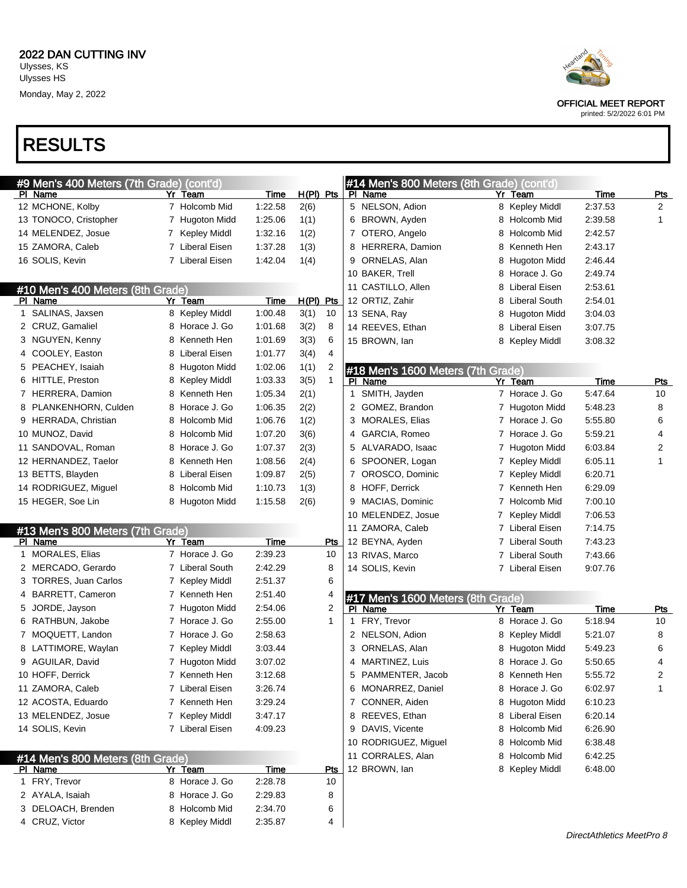

printed: 5/2/2022 6:01 PM

| #9 Men's 400 Meters (7th Grade) (cont'd) |                                 |                    |                      | #14 Men's 800 Meters (8th Grade) (cont'd) |                           |         |                |
|------------------------------------------|---------------------------------|--------------------|----------------------|-------------------------------------------|---------------------------|---------|----------------|
| PI Name                                  | Yr Team                         | Time               | $H(PI)$ Pts          | PI Name                                   | Yr Team                   | Time    | <u>Pts</u>     |
| 12 MCHONE, Kolby                         | 7 Holcomb Mid                   | 1:22.58            | 2(6)                 | 5 NELSON, Adion                           | 8 Kepley Middl            | 2:37.53 | $\overline{2}$ |
| 13 TONOCO, Cristopher                    | 7 Hugoton Midd                  | 1:25.06            | 1(1)                 | 6 BROWN, Ayden                            | 8 Holcomb Mid             | 2:39.58 | 1              |
| 14 MELENDEZ, Josue                       | 7 Kepley Middl                  | 1:32.16            | 1(2)                 | 7 OTERO, Angelo                           | Holcomb Mid<br>8          | 2:42.57 |                |
| 15 ZAMORA, Caleb                         | 7 Liberal Eisen                 | 1:37.28            | 1(3)                 | 8 HERRERA, Damion                         | Kenneth Hen<br>8          | 2:43.17 |                |
| 16 SOLIS, Kevin                          | 7 Liberal Eisen                 | 1:42.04            | 1(4)                 | 9 ORNELAS, Alan                           | Hugoton Midd<br>8         | 2:46.44 |                |
|                                          |                                 |                    |                      | 10 BAKER, Trell                           | Horace J. Go<br>8         | 2:49.74 |                |
| #10 Men's 400 Meters (8th Grade)         |                                 |                    |                      | 11 CASTILLO, Allen                        | Liberal Eisen<br>8        | 2:53.61 |                |
| PI Name                                  | Yr Team                         | Time               | H(PI) Pts            | 12 ORTIZ, Zahir                           | <b>Liberal South</b><br>8 | 2:54.01 |                |
| 1 SALINAS, Jaxsen                        | 8 Kepley Middl                  | 1:00.48            | 3(1)<br>10           | 13 SENA, Ray                              | Hugoton Midd<br>8         | 3:04.03 |                |
| 2 CRUZ, Gamaliel                         | 8 Horace J. Go                  | 1:01.68            | 3(2)<br>8            | 14 REEVES, Ethan                          | Liberal Eisen<br>8        | 3:07.75 |                |
| 3 NGUYEN, Kenny                          | 8 Kenneth Hen                   | 1:01.69            | 3(3)<br>6            | 15 BROWN, lan                             | Kepley Middl<br>8         | 3:08.32 |                |
| 4 COOLEY, Easton                         | 8 Liberal Eisen                 | 1:01.77            | 4<br>3(4)            |                                           |                           |         |                |
| 5 PEACHEY, Isaiah                        | 8 Hugoton Midd                  | 1:02.06            | 1(1)<br>2            | #18 Men's 1600 Meters (7th Grade)         |                           |         |                |
| 6 HITTLE, Preston                        | 8 Kepley Middl                  | 1:03.33            | $\mathbf{1}$<br>3(5) | PI Name                                   | Yr Team                   | Time    | <u>Pts</u>     |
| 7 HERRERA, Damion                        | 8 Kenneth Hen                   | 1:05.34            | 2(1)                 | 1 SMITH, Jayden                           | 7 Horace J. Go            | 5:47.64 | 10             |
| 8 PLANKENHORN, Culden                    | 8 Horace J. Go                  | 1:06.35            | 2(2)                 | 2 GOMEZ, Brandon                          | 7 Hugoton Midd            | 5:48.23 | 8              |
| 9 HERRADA, Christian                     | 8 Holcomb Mid                   | 1:06.76            | 1(2)                 | 3 MORALES, Elias                          | 7 Horace J. Go            | 5:55.80 | 6              |
| 10 MUNOZ, David                          | 8 Holcomb Mid                   | 1:07.20            | 3(6)                 | 4 GARCIA, Romeo                           | 7 Horace J. Go            | 5:59.21 | 4              |
| 11 SANDOVAL, Roman                       | 8 Horace J. Go                  | 1:07.37            | 2(3)                 | 5 ALVARADO, Isaac                         | 7 Hugoton Midd            | 6:03.84 | 2              |
| 12 HERNANDEZ, Taelor                     | 8 Kenneth Hen                   | 1:08.56            | 2(4)                 | 6 SPOONER, Logan                          | 7 Kepley Middl            | 6:05.11 | 1              |
| 13 BETTS, Blayden                        | 8 Liberal Eisen                 | 1:09.87            | 2(5)                 | 7 OROSCO, Dominic                         | 7 Kepley Middl            | 6:20.71 |                |
| 14 RODRIGUEZ, Miguel                     | 8 Holcomb Mid                   | 1:10.73            | 1(3)                 | 8 HOFF, Derrick                           | Kenneth Hen               | 6:29.09 |                |
| 15 HEGER, Soe Lin                        | 8 Hugoton Midd                  | 1:15.58            | 2(6)                 | 9 MACIAS, Dominic                         | Holcomb Mid<br>7          | 7:00.10 |                |
|                                          |                                 |                    |                      | 10 MELENDEZ, Josue                        | <b>Kepley Middl</b>       | 7:06.53 |                |
| #13 Men's 800 Meters (7th Grade)         |                                 |                    |                      | 11 ZAMORA, Caleb                          | Liberal Eisen             | 7:14.75 |                |
| PI Name                                  | Yr Team                         | Time               | Pts                  | 12 BEYNA, Ayden                           | <b>Liberal South</b>      | 7:43.23 |                |
| 1 MORALES, Elias                         | 7 Horace J. Go                  | 2:39.23            | 10                   | 13 RIVAS, Marco                           | <b>Liberal South</b>      | 7:43.66 |                |
| 2 MERCADO, Gerardo                       | 7 Liberal South                 | 2:42.29            | 8                    | 14 SOLIS, Kevin                           | 7 Liberal Eisen           | 9:07.76 |                |
| 3 TORRES, Juan Carlos                    | 7 Kepley Middl                  | 2:51.37            | 6                    |                                           |                           |         |                |
| 4 BARRETT, Cameron                       | 7 Kenneth Hen                   | 2:51.40            | 4                    | #17 Men's 1600 Meters (8th Grade)         |                           |         |                |
| 5 JORDE, Jayson                          | 7 Hugoton Midd                  | 2:54.06            | $\overline{2}$       | PI Name                                   | Yr Team                   | Time    | <u>Pts</u>     |
| 6 RATHBUN, Jakobe                        | 7 Horace J. Go                  | 2:55.00            | 1                    | 1 FRY, Trevor                             | 8 Horace J. Go            | 5:18.94 | 10             |
| 7 MOQUETT, Landon                        | 7 Horace J. Go                  | 2:58.63            |                      | 2 NELSON, Adion                           | Kepley Middl<br>8         | 5:21.07 | 8              |
| 8 LATTIMORE, Waylan                      | 7 Kepley Middl                  | 3:03.44            |                      | 3 ORNELAS, Alan                           | Hugoton Midd<br>8         | 5:49.23 | 6              |
| 9 AGUILAR, David                         | 7 Hugoton Midd                  | 3:07.02            |                      | 4 MARTINEZ, Luis                          | 8 Horace J. Go            | 5:50.65 | 4              |
| 10 HOFF, Derrick                         | 7 Kenneth Hen                   | 3:12.68            |                      | 5 PAMMENTER, Jacob                        | 8 Kenneth Hen             | 5:55.72 | 2              |
| 11 ZAMORA, Caleb                         | 7 Liberal Eisen                 | 3:26.74            |                      | 6 MONARREZ, Daniel                        | 8 Horace J. Go            | 6:02.97 | $\mathbf{1}$   |
| 12 ACOSTA, Eduardo                       | 7 Kenneth Hen                   | 3:29.24            |                      | 7 CONNER, Aiden                           | 8 Hugoton Midd            | 6:10.23 |                |
| 13 MELENDEZ, Josue                       | 7 Kepley Middl                  | 3:47.17            |                      | 8 REEVES, Ethan                           | 8 Liberal Eisen           | 6:20.14 |                |
| 14 SOLIS, Kevin                          | 7 Liberal Eisen                 | 4:09.23            |                      | 9 DAVIS, Vicente                          | 8 Holcomb Mid             | 6:26.90 |                |
|                                          |                                 |                    |                      | 10 RODRIGUEZ, Miguel                      | 8 Holcomb Mid             | 6:38.48 |                |
| #14 Men's 800 Meters (8th Grade)         |                                 |                    |                      | 11 CORRALES, Alan                         | 8 Holcomb Mid             | 6:42.25 |                |
| PI Name                                  | Yr Team                         | Time               | <b>Pts</b>           | 12 BROWN, lan                             | 8 Kepley Middl            | 6:48.00 |                |
| 1 FRY, Trevor                            | 8 Horace J. Go                  | 2:28.78            | 10                   |                                           |                           |         |                |
| 2 AYALA, Isaiah                          | 8 Horace J. Go                  | 2:29.83            | 8                    |                                           |                           |         |                |
|                                          |                                 |                    |                      |                                           |                           |         |                |
|                                          |                                 |                    |                      |                                           |                           |         |                |
| 3 DELOACH, Brenden<br>4 CRUZ, Victor     | 8 Holcomb Mid<br>8 Kepley Middl | 2:34.70<br>2:35.87 | 6<br>4               |                                           |                           |         |                |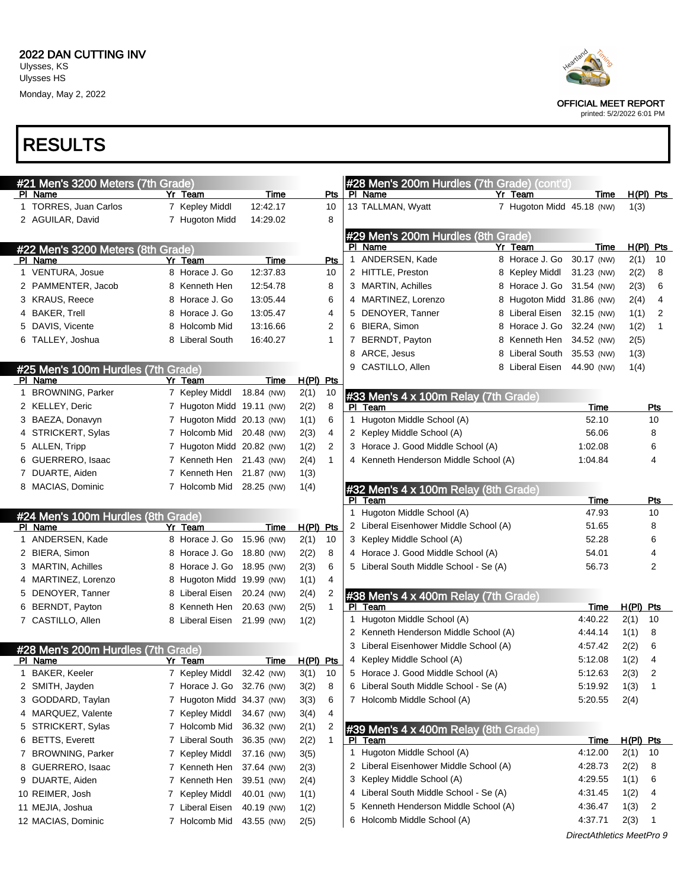

| #21 Men's 3200 Meters (7th Grade)  |                           |            |             |                |    | #28 Men's 200m Hurdles (7th Grade) (cont'd) |                            |                           |             |                |
|------------------------------------|---------------------------|------------|-------------|----------------|----|---------------------------------------------|----------------------------|---------------------------|-------------|----------------|
| PI Name                            | Yr Team                   | Time       |             | Pts            |    | PI Name                                     | Yr Team                    | Time                      |             | $H(PI)$ Pts    |
| 1 TORRES, Juan Carlos              | 7 Kepley Middl            | 12:42.17   |             | 10             |    | 13 TALLMAN, Wyatt                           | 7 Hugoton Midd 45.18 (NW)  |                           | 1(3)        |                |
| 2 AGUILAR, David                   | 7 Hugoton Midd            | 14:29.02   |             | 8              |    |                                             |                            |                           |             |                |
|                                    |                           |            |             |                |    | #29 Men's 200m Hurdles (8th Grade)          |                            |                           |             |                |
| #22 Men's 3200 Meters (8th Grade)  |                           |            |             |                |    | PI Name                                     | Yr Team                    | Time                      |             | $H(PI)$ Pts    |
| PI Name                            | Yr Team                   | Time       |             | Pts            |    | 1 ANDERSEN, Kade                            | 8 Horace J. Go             | 30.17 (NW)                | 2(1)        | 10             |
| 1 VENTURA, Josue                   | 8 Horace J. Go            | 12:37.83   |             | 10             |    | 2 HITTLE, Preston                           | 8 Kepley Middl             | 31.23 (NW)                | 2(2)        | 8              |
| 2 PAMMENTER, Jacob                 | 8 Kenneth Hen             | 12:54.78   |             | 8              |    | 3 MARTIN, Achilles                          | 8 Horace J. Go 31.54 (NW)  |                           | 2(3)        | 6              |
| 3 KRAUS, Reece                     | 8 Horace J. Go            | 13:05.44   |             | 6              |    | 4 MARTINEZ, Lorenzo                         | 8 Hugoton Midd 31.86 (NW)  |                           | 2(4)        | 4              |
| 4 BAKER, Trell                     | 8 Horace J. Go            | 13:05.47   |             | 4              |    | 5 DENOYER, Tanner                           | 8 Liberal Eisen 32.15 (NW) |                           | 1(1)        | 2              |
| 5 DAVIS, Vicente                   | 8 Holcomb Mid             | 13:16.66   |             | 2              |    | 6 BIERA, Simon                              | 8 Horace J. Go 32.24 (NW)  |                           | 1(2)        | 1              |
| 6 TALLEY, Joshua                   | 8 Liberal South           | 16:40.27   |             | 1              |    | 7 BERNDT, Payton                            | 8 Kenneth Hen 34.52 (NW)   |                           | 2(5)        |                |
|                                    |                           |            |             |                | 8  | ARCE, Jesus                                 | 8 Liberal South 35.53 (NW) |                           | 1(3)        |                |
| #25 Men's 100m Hurdles (7th Grade) |                           |            |             |                |    | 9 CASTILLO, Allen                           | 8 Liberal Eisen 44.90 (NW) |                           | 1(4)        |                |
| PI Name                            | Yr Team                   | Time       | $H(PI)$ Pts |                |    |                                             |                            |                           |             |                |
| 1 BROWNING, Parker                 | 7 Kepley Middl            | 18.84 (NW) | 2(1)        | 10             |    | #33 Men's 4 x 100m Relay (7th Grade)        |                            |                           |             |                |
| 2 KELLEY, Deric                    | 7 Hugoton Midd 19.11 (NW) |            | 2(2)        | 8              | PL | Team                                        |                            | Time                      |             | Pts            |
| 3 BAEZA, Donavyn                   | 7 Hugoton Midd 20.13 (NW) |            | 1(1)        | 6              |    | 1 Hugoton Middle School (A)                 |                            | 52.10                     |             | 10             |
| 4 STRICKERT, Sylas                 | 7 Holcomb Mid 20.48 (NW)  |            | 2(3)        | 4              |    | 2 Kepley Middle School (A)                  |                            | 56.06                     |             | 8              |
| 5 ALLEN, Tripp                     | 7 Hugoton Midd 20.82 (NW) |            | 1(2)        | 2              |    | 3 Horace J. Good Middle School (A)          |                            | 1:02.08                   |             | 6              |
| 6 GUERRERO, Isaac                  | 7 Kenneth Hen 21.43 (NW)  |            | 2(4)        | 1              |    | 4 Kenneth Henderson Middle School (A)       |                            | 1:04.84                   |             | 4              |
| 7 DUARTE, Aiden                    | 7 Kenneth Hen             | 21.87 (NW) | 1(3)        |                |    |                                             |                            |                           |             |                |
| 8 MACIAS, Dominic                  | 7 Holcomb Mid             | 28.25 (NW) | 1(4)        |                |    | #32 Men's 4 x 100m Relay (8th Grade)        |                            |                           |             |                |
|                                    |                           |            |             |                | PL | Team                                        |                            | Time                      |             | Pts            |
| #24 Men's 100m Hurdles (8th Grade) |                           |            |             |                |    | 1 Hugoton Middle School (A)                 |                            | 47.93                     |             | 10             |
| PI Name                            | Yr Team                   | Time       | $H(PI)$ Pts |                |    | 2 Liberal Eisenhower Middle School (A)      |                            | 51.65                     |             | 8              |
| 1 ANDERSEN, Kade                   | 8 Horace J. Go 15.96 (NW) |            | 2(1)        | 10             |    | 3 Kepley Middle School (A)                  |                            | 52.28                     |             | 6              |
| 2 BIERA, Simon                     | 8 Horace J. Go 18.80 (NW) |            | 2(2)        | 8              |    | 4 Horace J. Good Middle School (A)          |                            | 54.01                     |             | 4              |
| 3 MARTIN, Achilles                 | 8 Horace J. Go 18.95 (NW) |            | 2(3)        | 6              |    | 5 Liberal South Middle School - Se (A)      |                            | 56.73                     |             | 2              |
| 4 MARTINEZ, Lorenzo                | 8 Hugoton Midd 19.99 (NW) |            | 1(1)        | 4              |    |                                             |                            |                           |             |                |
| 5 DENOYER, Tanner                  | 8 Liberal Eisen           | 20.24 (NW) | 2(4)        | $\overline{2}$ |    | #38 Men's 4 x 400m Relay (7th Grade)        |                            |                           |             |                |
| 6 BERNDT, Payton                   | 8 Kenneth Hen             | 20.63 (NW) | 2(5)        | 1              |    | PI Team                                     |                            | Time                      | $H(PI)$ Pts |                |
| 7 CASTILLO, Allen                  | 8 Liberal Eisen           | 21.99 (NW) | 1(2)        |                |    | 1 Hugoton Middle School (A)                 |                            | 4:40.22                   | 2(1)        | 10             |
|                                    |                           |            |             |                |    | 2 Kenneth Henderson Middle School (A)       |                            | 4:44.14                   | 1(1)        | 8              |
| #28 Men's 200m Hurdles (7th Grade) |                           |            |             |                |    | 3 Liberal Eisenhower Middle School (A)      |                            | 4:57.42                   | 2(2)        | 6              |
| PI Name                            | Yr Team                   | Time       | $H(PI)$ Pts |                |    | 4 Kepley Middle School (A)                  |                            | 5:12.08                   | 1(2)        | 4              |
| <b>BAKER, Keeler</b>               | 7 Kepley Middl 32.42 (NW) |            | 3(1)        | 10             |    | 5 Horace J. Good Middle School (A)          |                            | 5:12.63                   | 2(3)        | $\overline{z}$ |
| 2 SMITH, Jayden                    | 7 Horace J. Go            | 32.76 (NW) | 3(2)        | 8              |    | 6 Liberal South Middle School - Se (A)      |                            | 5:19.92                   | 1(3)        |                |
| 3 GODDARD, Taylan                  | 7 Hugoton Midd 34.37 (NW) |            | 3(3)        | 6              |    | 7 Holcomb Middle School (A)                 |                            | 5:20.55                   | 2(4)        |                |
| 4 MARQUEZ, Valente                 | 7 Kepley Middl            | 34.67 (NW) | 3(4)        | 4              |    |                                             |                            |                           |             |                |
| 5 STRICKERT, Sylas                 | 7 Holcomb Mid             | 36.32 (NW) | 2(1)        | $\overline{2}$ |    | #39 Men's 4 x 400m Relay (8th Grade)        |                            |                           |             |                |
| 6 BETTS, Everett                   | 7 Liberal South           | 36.35 (NW) | 2(2)        | 1              |    | PI Team                                     |                            | <u>Time</u>               | H(PI) Pts   |                |
| 7 BROWNING, Parker                 | 7 Kepley Middl            | 37.16 (NW) | 3(5)        |                |    | 1 Hugoton Middle School (A)                 |                            | 4:12.00                   | 2(1)        | 10             |
| 8 GUERRERO, Isaac                  | 7 Kenneth Hen             | 37.64 (NW) | 2(3)        |                |    | 2 Liberal Eisenhower Middle School (A)      |                            | 4:28.73                   | 2(2)        | 8              |
| 9 DUARTE, Aiden                    | 7 Kenneth Hen             | 39.51 (NW) | 2(4)        |                |    | 3 Kepley Middle School (A)                  |                            | 4:29.55                   | 1(1)        | 6              |
| 10 REIMER, Josh                    | 7 Kepley Middl            | 40.01 (NW) | 1(1)        |                |    | 4 Liberal South Middle School - Se (A)      |                            | 4:31.45                   | 1(2)        | 4              |
| 11 MEJIA, Joshua                   | 7 Liberal Eisen           | 40.19 (NW) | 1(2)        |                |    | 5 Kenneth Henderson Middle School (A)       |                            | 4:36.47                   | 1(3)        | 2              |
| 12 MACIAS, Dominic                 | 7 Holcomb Mid             | 43.55 (NW) | 2(5)        |                |    | 6 Holcomb Middle School (A)                 |                            | 4:37.71                   | 2(3)        | 1              |
|                                    |                           |            |             |                |    |                                             |                            | DirectAthletics MeetPro 9 |             |                |



printed: 5/2/2022 6:01 PM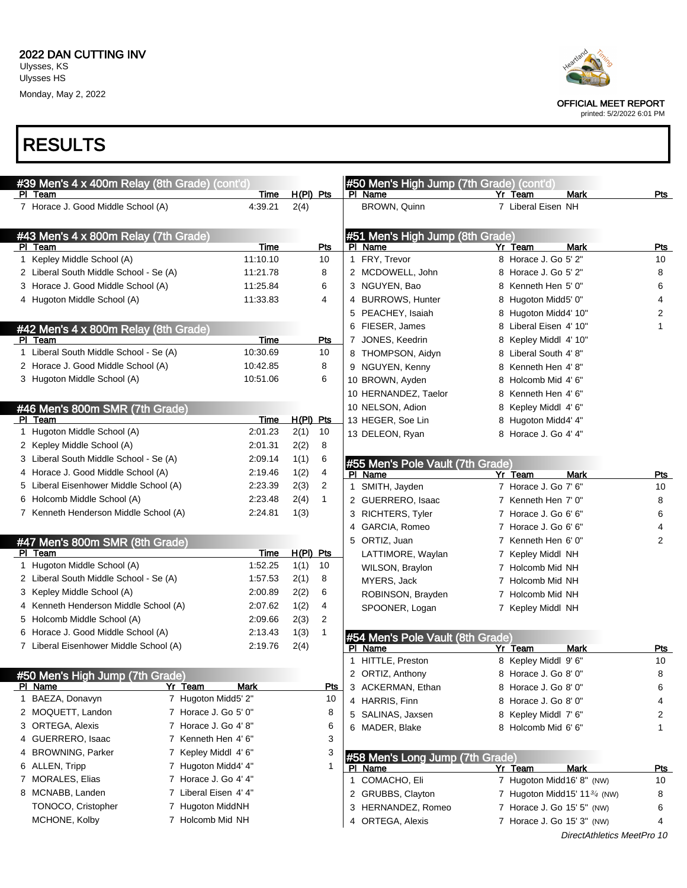

printed: 5/2/2022 6:01 PM

| #39 Men's 4 x 400m Relay (8th Grade) (cont'd) |             |             |              | #50 Men's High Jump (7th Grade) (cont'd)    |                              |                            |                  |
|-----------------------------------------------|-------------|-------------|--------------|---------------------------------------------|------------------------------|----------------------------|------------------|
| PI Team                                       | Time        | $H(PI)$ Pts |              | PI Name                                     | Yr Team                      | <b>Mark</b>                | Pts              |
| 7 Horace J. Good Middle School (A)            | 4:39.21     | 2(4)        |              | BROWN, Quinn                                | 7 Liberal Eisen NH           |                            |                  |
|                                               |             |             |              |                                             |                              |                            |                  |
| #43 Men's 4 x 800m Relay (7th Grade)          |             |             |              | #51 Men's High Jump (8th Grade)             |                              |                            |                  |
| PI Team                                       | <b>Time</b> |             | <b>Pts</b>   | PI Name                                     | Yr Team                      | <b>Mark</b>                | <b>Pts</b>       |
| 1 Kepley Middle School (A)                    | 11:10.10    |             | 10           | 1 FRY, Trevor                               | 8 Horace J. Go 5' 2"         |                            | 10               |
| 2 Liberal South Middle School - Se (A)        | 11:21.78    |             | 8            | 2 MCDOWELL, John                            | 8 Horace J. Go 5' 2"         |                            | 8                |
| 3 Horace J. Good Middle School (A)            | 11:25.84    |             | 6            | 3 NGUYEN, Bao                               | 8 Kenneth Hen 5' 0"          |                            | 6                |
| 4 Hugoton Middle School (A)                   | 11:33.83    |             | 4            | 4 BURROWS, Hunter                           | 8 Hugoton Midd5' 0"          |                            | 4                |
|                                               |             |             |              | 5 PEACHEY, Isaiah                           | 8 Hugoton Midd4' 10"         |                            | 2                |
| #42 Men's 4 x 800m Relay (8th Grade)          |             |             |              | 6 FIESER, James                             | 8 Liberal Eisen 4' 10"       |                            | 1                |
| PI Team                                       | Time        |             | Pts          | 7 JONES, Keedrin                            | 8 Kepley Middl 4' 10"        |                            |                  |
| 1 Liberal South Middle School - Se (A)        | 10:30.69    |             | 10           | 8 THOMPSON, Aidyn                           | 8 Liberal South 4'8"         |                            |                  |
| 2 Horace J. Good Middle School (A)            | 10:42.85    |             | 8            | 9 NGUYEN, Kenny                             | 8 Kenneth Hen 4'8"           |                            |                  |
| 3 Hugoton Middle School (A)                   | 10:51.06    |             | 6            | 10 BROWN, Ayden                             | 8 Holcomb Mid 4' 6"          |                            |                  |
|                                               |             |             |              | 10 HERNANDEZ, Taelor                        | 8 Kenneth Hen 4' 6"          |                            |                  |
| #46 Men's 800m SMR (7th Grade)                |             |             |              | 10 NELSON, Adion                            | 8 Kepley Middl 4' 6"         |                            |                  |
| PI Team                                       | Time        | $H(PI)$ Pts |              | 13 HEGER, Soe Lin                           | 8 Hugoton Midd4' 4"          |                            |                  |
| 1 Hugoton Middle School (A)                   | 2:01.23     | 2(1)        | 10           | 13 DELEON, Ryan                             | 8 Horace J. Go 4' 4"         |                            |                  |
| 2 Kepley Middle School (A)                    | 2:01.31     | 2(2)        | 8            |                                             |                              |                            |                  |
| 3 Liberal South Middle School - Se (A)        | 2:09.14     | 1(1)        | 6            | #55 Men's Pole Vault (7th Grade)            |                              |                            |                  |
| 4 Horace J. Good Middle School (A)            | 2:19.46     | 1(2)        | 4            | PI Name                                     | <b>Yr Team</b>               | Mark                       | Pts              |
| 5 Liberal Eisenhower Middle School (A)        | 2:23.39     | 2(3)        | 2            | 1 SMITH, Jayden                             | 7 Horace J. Go 7' 6"         |                            | 10               |
| 6 Holcomb Middle School (A)                   | 2:23.48     | 2(4)        | $\mathbf{1}$ | 2 GUERRERO, Isaac                           | 7 Kenneth Hen 7' 0"          |                            | 8                |
| 7 Kenneth Henderson Middle School (A)         | 2.24.81     | 1(3)        |              | RICHTERS, Tyler<br>3                        | 7 Horace J. Go 6' 6"         |                            | 6                |
|                                               |             |             |              | GARCIA, Romeo<br>4                          | 7 Horace J. Go 6' 6"         |                            | 4                |
| #47 Men's 800m SMR (8th Grade)                |             |             |              | 5 ORTIZ, Juan                               | 7 Kenneth Hen 6' 0"          |                            | 2                |
| PI Team                                       | Time        | $H(PI)$ Pts |              | LATTIMORE, Waylan                           | 7 Kepley Middl NH            |                            |                  |
| 1 Hugoton Middle School (A)                   | 1:52.25     | 1(1)        | 10           | WILSON, Braylon                             | 7 Holcomb Mid NH             |                            |                  |
| 2 Liberal South Middle School - Se (A)        | 1:57.53     | 2(1)        | 8            | MYERS, Jack                                 | 7 Holcomb Mid NH             |                            |                  |
| 3 Kepley Middle School (A)                    | 2:00.89     | 2(2)        | 6            | ROBINSON, Brayden                           | 7 Holcomb Mid NH             |                            |                  |
| 4 Kenneth Henderson Middle School (A)         | 2:07.62     | 1(2)        | 4            | SPOONER, Logan                              | 7 Kepley Middl NH            |                            |                  |
| 5 Holcomb Middle School (A)                   | 2:09.66     | 2(3)        | 2            |                                             |                              |                            |                  |
| 6 Horace J. Good Middle School (A)            | 2:13.43     | 1(3)        | $\mathbf{1}$ |                                             |                              |                            |                  |
| 7 Liberal Eisenhower Middle School (A)        | 2:19.76     | 2(4)        |              | #54 Men's Pole Vault (8th Grade)<br>PI Name | Yr Team                      | <b>Mark</b>                | <u>Pts</u>       |
|                                               |             |             |              | 1 HITTLE, Preston                           | 8 Kepley Middl 9' 6"         |                            | 10               |
| #50 Men's High Jump (7th Grade)               |             |             |              | 2 ORTIZ, Anthony                            | 8 Horace J. Go 8' 0"         |                            | 8                |
| PI Name<br>Yr Team                            | Mark        |             | Pts          | 3 ACKERMAN, Ethan                           | 8 Horace J. Go 8' 0"         |                            | 6                |
| 1 BAEZA, Donavyn<br>7 Hugoton Midd5' 2"       |             |             | 10           | 4 HARRIS, Finn                              | 8 Horace J. Go 8' 0"         |                            | 4                |
| 2 MOQUETT, Landon<br>7 Horace J. Go 5' 0"     |             |             | 8            | 5 SALINAS, Jaxsen                           | 8 Kepley Middl 7' 6"         |                            | 2                |
| 7 Horace J. Go 4' 8"<br>3 ORTEGA, Alexis      |             |             | 6            | 6 MADER, Blake                              | 8 Holcomb Mid 6' 6"          |                            | 1                |
| 4 GUERRERO, Isaac<br>7 Kenneth Hen 4' 6"      |             |             | 3            |                                             |                              |                            |                  |
| 4 BROWNING, Parker<br>7 Kepley Middl 4' 6"    |             |             | 3            |                                             |                              |                            |                  |
| 6 ALLEN, Tripp<br>7 Hugoton Midd4' 4"         |             |             |              | #58 Men's Long Jump (7th Grade)<br>PI Name  | Yr Team                      | <b>Mark</b>                |                  |
| 7 MORALES, Elias<br>7 Horace J. Go 4' 4"      |             |             |              | 1 COMACHO, Eli                              | 7 Hugoton Midd16' 8" (NW)    |                            | <u>Pts</u><br>10 |
| 7 Liberal Eisen 4' 4"<br>8 MCNABB, Landen     |             |             |              | 2 GRUBBS, Clayton                           | 7 Hugoton Midd15' 113/4 (NW) |                            | 8                |
| TONOCO, Cristopher<br>7 Hugoton MiddNH        |             |             |              | 3 HERNANDEZ, Romeo                          |                              |                            |                  |
| MCHONE, Kolby<br>7 Holcomb Mid NH             |             |             |              |                                             | 7 Horace J. Go 15' 5" (NW)   |                            | 6                |
|                                               |             |             |              | 4 ORTEGA, Alexis                            | 7 Horace J. Go 15' 3" (NW)   |                            | 4                |
|                                               |             |             |              |                                             |                              | DirectAthletics MeetPro 10 |                  |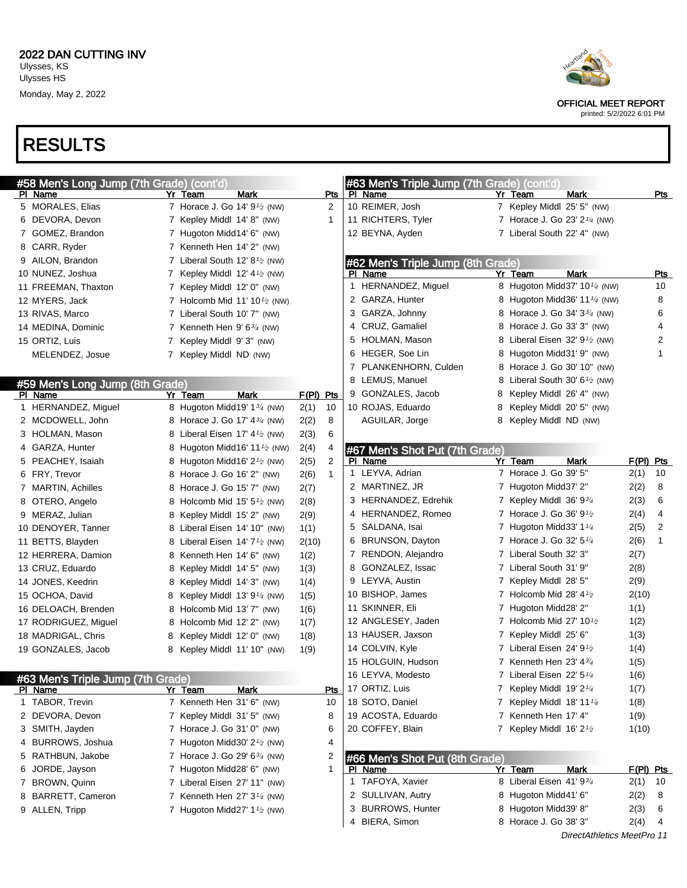

| #58 Men's Long Jump (7th Grade) (cont'd) |   |                                                        |           |                |   | #63 Men's Triple Jump (7th Grade) (cont'd) |   |                                                                              |                                          |              |            |
|------------------------------------------|---|--------------------------------------------------------|-----------|----------------|---|--------------------------------------------|---|------------------------------------------------------------------------------|------------------------------------------|--------------|------------|
| PI Name                                  |   | Yr Team<br>Mark                                        |           | Pts            |   | PI Name                                    |   | Yr Team                                                                      | <b>Mark</b>                              |              | Pts        |
| 5 MORALES, Elias                         |   | 7 Horace J. Go 14' 9 <sup>1</sup> / <sub>2</sub> (NW)  |           | $\overline{2}$ |   | 10 REIMER, Josh                            |   | 7 Kepley Middl 25' 5" (NW)                                                   |                                          |              |            |
| 6 DEVORA, Devon                          |   | 7 Kepley Middl 14' 8" (NW)                             |           | 1              |   | 11 RICHTERS, Tyler                         |   |                                                                              | 7 Horace J. Go 23' 2 <sup>1/4</sup> (NW) |              |            |
| 7 GOMEZ, Brandon                         |   | 7 Hugoton Midd14' 6" (NW)                              |           |                |   | 12 BEYNA, Ayden                            |   | 7 Liberal South 22' 4" (NW)                                                  |                                          |              |            |
| 8 CARR, Ryder                            |   | 7 Kenneth Hen 14' 2" (NW)                              |           |                |   |                                            |   |                                                                              |                                          |              |            |
| 9 AILON, Brandon                         |   | 7 Liberal South 12' $8\frac{1}{2}$ (NW)                |           |                |   | #62 Men's Triple Jump (8th Grade)          |   |                                                                              |                                          |              |            |
| 10 NUNEZ, Joshua                         |   | 7 Kepley Middl 12' $4\frac{1}{2}$ (NW)                 |           |                |   | PI Name                                    |   | Yr Team                                                                      | Mark                                     |              | <b>Pts</b> |
| 11 FREEMAN, Thaxton                      |   | 7 Kepley Middl 12' 0" (NW)                             |           |                | 1 | HERNANDEZ, Miguel                          |   |                                                                              | 8 Hugoton Midd37' 10 <sup>1/4</sup> (NW) |              | 10         |
| 12 MYERS, Jack                           |   | 7 Holcomb Mid 11' 10 <sup><math>1/2</math></sup> (NW)  |           |                |   | 2 GARZA, Hunter                            |   |                                                                              | 8 Hugoton Midd36' 11 <sup>1/4</sup> (NW) |              | 8          |
| 13 RIVAS, Marco                          |   | 7 Liberal South 10' 7" (NW)                            |           |                |   | 3 GARZA, Johnny                            |   |                                                                              | 8 Horace J. Go 34' 3 <sup>3/4</sup> (NW) |              | 6          |
| 14 MEDINA, Dominic                       |   | 7 Kenneth Hen 9' $6\frac{3}{4}$ (NW)                   |           |                |   | 4 CRUZ, Gamaliel                           | 8 | Horace J. Go 33' 3" (NW)                                                     |                                          |              | 4          |
| 15 ORTIZ, Luis                           |   | 7 Kepley Middl 9'3" (NW)                               |           |                |   | 5 HOLMAN, Mason                            | 8 |                                                                              | Liberal Eisen 32' $9\frac{1}{2}$ (NW)    |              | 2          |
| MELENDEZ, Josue                          |   | 7 Kepley Middl ND (NW)                                 |           |                |   | 6 HEGER, Soe Lin                           | 8 | Hugoton Midd31' 9" (NW)                                                      |                                          |              | 1          |
|                                          |   |                                                        |           |                |   | 7 PLANKENHORN, Culden                      | 8 |                                                                              | Horace J. Go 30' 10" (NW)                |              |            |
| #59 Men's Long Jump (8th Grade)          |   |                                                        |           |                |   | 8 LEMUS, Manuel                            | 8 |                                                                              | Liberal South 30' $6\frac{1}{2}$ (NW)    |              |            |
| PI Name                                  |   | Yr Team<br>Mark                                        | F(PI) Pts |                |   | 9 GONZALES, Jacob                          | 8 | Kepley Middl 26' 4" (NW)                                                     |                                          |              |            |
| 1 HERNANDEZ, Miguel                      |   | 8 Hugoton Midd19' 13/4 (NW)                            | 2(1)      | 10             |   | 10 ROJAS, Eduardo                          | 8 | Kepley Middl 20' 5" (NW)                                                     |                                          |              |            |
| 2 MCDOWELL, John                         |   | 8 Horace J. Go 17' 4 <sup>3/4</sup> (NW)               | 2(2)      | 8              |   | AGUILAR, Jorge                             | 8 | Kepley Middl ND (NW)                                                         |                                          |              |            |
| 3 HOLMAN, Mason                          |   | 8 Liberal Eisen 17' 4 <sup>1</sup> / <sub>2</sub> (NW) | 2(3)      | 6              |   |                                            |   |                                                                              |                                          |              |            |
| 4 GARZA, Hunter                          |   | 8 Hugoton Midd16' 11 <sup>1</sup> / <sub>2</sub> (NW)  | 2(4)      | 4              |   | #67 Men's Shot Put (7th Grade)             |   |                                                                              |                                          |              |            |
| 5 PEACHEY, Isaiah                        |   | 8 Hugoton Midd16' 21/2 (NW)                            | 2(5)      | $\overline{2}$ |   | PI Name                                    |   | Yr Team                                                                      | Mark                                     | F(PI) Pts    |            |
| 6 FRY, Trevor                            |   | 8 Horace J. Go 16' 2" (NW)                             | 2(6)      | $\mathbf{1}$   |   | 1 LEYVA, Adrian                            |   | 7 Horace J. Go 39' 5"                                                        |                                          | 2(1)         | 10         |
| 7 MARTIN, Achilles                       |   | 8 Horace J. Go 15' 7" (NW)                             | 2(7)      |                |   | 2 MARTINEZ, JR                             |   | 7 Hugoton Midd37' 2"                                                         |                                          | 2(2)         | 8          |
| 8 OTERO, Angelo                          |   | 8 Holcomb Mid 15' $5\frac{1}{2}$ (NW)                  | 2(8)      |                |   | 3 HERNANDEZ, Edrehik                       |   | 7 Kepley Middl $36'9'3/4$                                                    |                                          | 2(3)         | 6          |
| 9 MERAZ, Julian                          |   | 8 Kepley Middl 15' 2" (NW)                             | 2(9)      |                |   | 4 HERNANDEZ, Romeo                         |   | 7 Horace J. Go 36' 9 <sup>1</sup> /2                                         |                                          | 2(4)         | 4          |
| 10 DENOYER, Tanner                       |   | 8 Liberal Eisen 14' 10" (NW)                           | 1(1)      |                |   | 5 SALDANA, Isai                            |   | 7 Hugoton Midd 33' $1\frac{1}{4}$                                            |                                          | 2(5)         | 2          |
| 11 BETTS, Blayden                        |   | 8 Liberal Eisen 14' 7 <sup>1</sup> / <sub>2</sub> (NW) | 2(10)     |                |   | 6 BRUNSON, Dayton                          |   | 7 Horace J. Go 32' 5 <sup>1/4</sup>                                          |                                          | 2(6)         | 1          |
| 12 HERRERA, Damion                       |   | 8 Kenneth Hen 14' 6" (NW)                              | 1(2)      |                |   | 7 RENDON, Alejandro                        |   | 7 Liberal South 32' 3"                                                       |                                          | 2(7)         |            |
| 13 CRUZ, Eduardo                         |   | 8 Kepley Middl 14' 5" (NW)                             | 1(3)      |                |   | 8 GONZALEZ, Issac                          |   | 7 Liberal South 31' 9"                                                       |                                          | 2(8)         |            |
| 14 JONES, Keedrin                        |   | 8 Kepley Middl 14' 3" (NW)                             | 1(4)      |                |   | 9 LEYVA, Austin                            |   | 7 Kepley Middl 28' 5"                                                        |                                          | 2(9)         |            |
| 15 OCHOA, David                          | 8 | Kepley Middl 13' 9 <sup>1/4</sup> (NW)                 | 1(5)      |                |   | 10 BISHOP, James                           |   | 7 Holcomb Mid 28' $4\frac{1}{2}$                                             |                                          | 2(10)        |            |
| 16 DELOACH, Brenden                      |   | 8 Holcomb Mid 13' 7" (NW)                              | 1(6)      |                |   | 11 SKINNER, Eli                            |   | 7 Hugoton Midd28' 2"                                                         |                                          | 1(1)         |            |
| 17 RODRIGUEZ, Miguel                     |   | 8 Holcomb Mid 12' 2" (NW)                              | 1(7)      |                |   | 12 ANGLESEY, Jaden                         |   | 7 Holcomb Mid 27' 10 <sup>1</sup> /2                                         |                                          | 1(2)         |            |
| 18 MADRIGAL, Chris                       | 8 | Kepley Middl 12' 0" (NW)                               | 1(8)      |                |   | 13 HAUSER, Jaxson                          |   | 7 Kepley Middl 25' 6"                                                        |                                          | 1(3)         |            |
| 19 GONZALES, Jacob                       | 8 | Kepley Middl 11' 10" (NW)                              | 1(9)      |                |   | 14 COLVIN, Kyle                            |   | 7 Liberal Eisen 24' 91⁄2                                                     |                                          | 1(4)         |            |
|                                          |   |                                                        |           |                |   | 15 HOLGUIN, Hudson                         |   | 7 Kenneth Hen 23' $4\frac{3}{4}$                                             |                                          | 1(5)         |            |
| #63 Men's Triple Jump (7th Grade)        |   |                                                        |           |                |   | 16 LEYVA, Modesto                          |   | 7 Liberal Eisen 22' 51/4                                                     |                                          | 1(6)         |            |
| PI Name                                  |   | Mark<br>Yr Team<br>7 Kenneth Hen 31' 6" (NW)           |           | Pts            |   | 17 ORTIZ, Luis                             |   | 7 Kepley Middl 19' 2 <sup>1/4</sup><br>7 Kepley Middl $18'$ 11 $\frac{1}{4}$ |                                          | 1(7)         |            |
| 1 TABOR, Trevin<br>2 DEVORA, Devon       |   |                                                        |           | 10             |   | 18 SOTO, Daniel                            |   |                                                                              |                                          | 1(8)         |            |
|                                          |   | 7 Kepley Middl 31' 5" (NW)                             |           | 8              |   | 19 ACOSTA, Eduardo<br>20 COFFEY, Blain     |   | 7 Kenneth Hen 17' 4"                                                         |                                          | 1(9)         |            |
| 3 SMITH, Jayden                          |   | 7 Horace J. Go 31' 0" (NW)                             |           | 6              |   |                                            |   | 7 Kepley Middl $16'$ 2 <sup>1</sup> / <sub>2</sub>                           |                                          | 1(10)        |            |
| 4 BURROWS, Joshua                        |   | 7 Hugoton Midd30' 2 <sup>1</sup> / <sub>2</sub> (NW)   |           | 4              |   |                                            |   |                                                                              |                                          |              |            |
| 5 RATHBUN, Jakobe                        |   | 7 Horace J. Go 29' 6 <sup>3/4</sup> (NW)               |           | 2              |   | #66 Men's Shot Put (8th Grade)             |   |                                                                              |                                          |              |            |
| 6 JORDE, Jayson                          |   | 7 Hugoton Midd28' 6" (NW)                              |           | 1              |   | PI Name                                    |   | Yr Team<br>8 Liberal Eisen 41' 93/4                                          | Mark                                     | $F(PI)$ Pts  |            |
| 7 BROWN, Quinn                           |   | 7 Liberal Eisen 27' 11" (NW)                           |           |                |   | 1 TAFOYA, Xavier                           |   |                                                                              |                                          | 2(1)         | 10         |
| 8 BARRETT, Cameron                       |   | 7 Kenneth Hen 27' 3 <sup>1/4</sup> (NW)                |           |                |   | 2 SULLIVAN, Autry<br>3 BURROWS, Hunter     |   | 8 Hugoton Midd41' 6"                                                         |                                          | 2(2)         | 8          |
| 9 ALLEN, Tripp                           |   | 7 Hugoton Midd27' $1\frac{1}{2}$ (NW)                  |           |                |   | 4 BIERA, Simon                             |   | 8 Hugoton Midd39' 8"<br>8 Horace J. Go 38' 3"                                |                                          | 2(3)<br>2(4) | 6          |
|                                          |   |                                                        |           |                |   |                                            |   |                                                                              | DirectAthletics MeetPro 11               |              | 4          |



printed: 5/2/2022 6:01 PM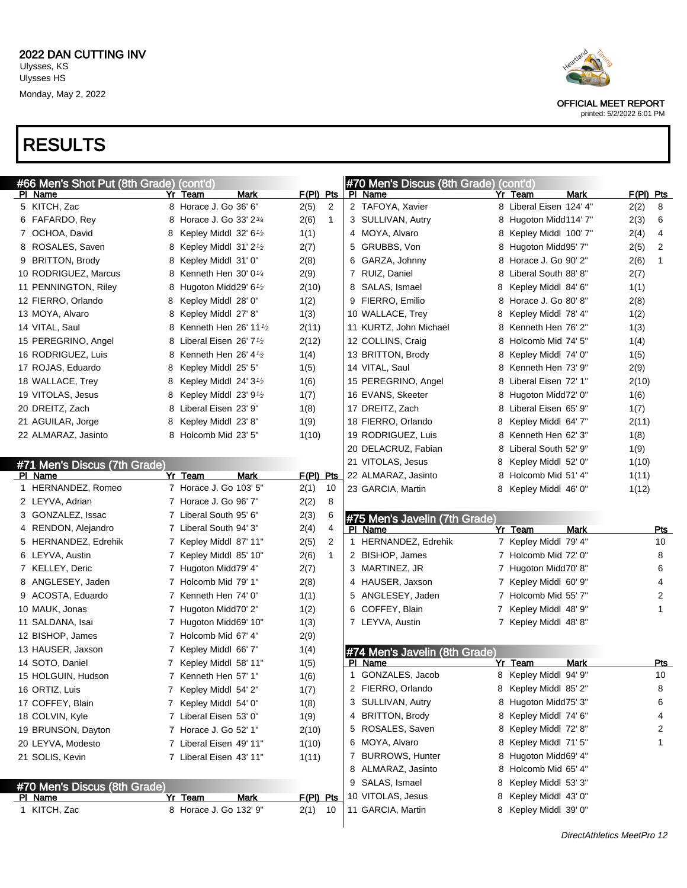

#### printed: 5/2/2022 6:01 PM

| #66 Men's Shot Put (8th Grade) (cont'd) |    |                                               |             |                | #70 Men's Discus (8th Grade) (cont'd) |                         |             |                 |
|-----------------------------------------|----|-----------------------------------------------|-------------|----------------|---------------------------------------|-------------------------|-------------|-----------------|
| <u>PI Name</u>                          | Yr | Team<br>Mark                                  | F(PI) Pts   |                | <b>PI</b> Name                        | Yr Team                 | <b>Mark</b> | F(PI) Pts       |
| 5 KITCH, Zac                            |    | 8 Horace J. Go 36' 6"                         | 2(5)        | $\overline{c}$ | 2 TAFOYA, Xavier                      | 8 Liberal Eisen 124' 4" |             | 2(2)<br>8       |
| 6 FAFARDO, Rey                          |    | 8 Horace J. Go 33' 23/4                       | 2(6)        | $\mathbf{1}$   | 3 SULLIVAN, Autry                     | 8 Hugoton Midd114' 7"   |             | 2(3)<br>6       |
| 7 OCHOA, David                          | 8  | Kepley Middl 32' $6\frac{1}{2}$               | 1(1)        |                | 4 MOYA, Alvaro                        | 8 Kepley Middl 100' 7"  |             | 2(4)<br>4       |
| 8 ROSALES, Saven                        |    | 8 Kepley Middl $31'2'$                        | 2(7)        |                | 5 GRUBBS, Von                         | 8 Hugoton Midd95' 7"    |             | 2(5)<br>2       |
| 9 BRITTON, Brody                        | 8  | Kepley Middl 31' 0"                           | 2(8)        |                | 6 GARZA, Johnny                       | 8 Horace J. Go 90' 2"   |             | 2(6)<br>1       |
| 10 RODRIGUEZ, Marcus                    |    | 8 Kenneth Hen $30'0'4$                        | 2(9)        |                | 7 RUIZ, Daniel                        | 8 Liberal South 88'8"   |             | 2(7)            |
| 11 PENNINGTON, Riley                    | 8  | Hugoton Midd29' 6 <sup><math>1/2</math></sup> | 2(10)       |                | 8 SALAS, Ismael                       | 8 Kepley Middl 84' 6"   |             | 1(1)            |
| 12 FIERRO, Orlando                      | 8  | Kepley Middl 28' 0"                           | 1(2)        |                | 9 FIERRO, Emilio                      | 8 Horace J. Go 80' 8"   |             | 2(8)            |
| 13 MOYA, Alvaro                         | 8  | Kepley Middl 27' 8"                           | 1(3)        |                | 10 WALLACE, Trey                      | 8 Kepley Middl 78' 4"   |             | 1(2)            |
| 14 VITAL, Saul                          | 8  | Kenneth Hen 26' 11 $\frac{1}{2}$              | 2(11)       |                | 11 KURTZ, John Michael                | 8 Kenneth Hen 76' 2"    |             | 1(3)            |
| 15 PEREGRINO, Angel                     | 8  | Liberal Eisen 26' 7 $\frac{1}{2}$             | 2(12)       |                | 12 COLLINS, Craig                     | 8 Holcomb Mid 74' 5"    |             | 1(4)            |
| 16 RODRIGUEZ, Luis                      |    | 8 Kenneth Hen 26' $4\frac{1}{2}$              | 1(4)        |                | 13 BRITTON, Brody                     | 8 Kepley Middl 74' 0"   |             | 1(5)            |
| 17 ROJAS, Eduardo                       | 8  | Kepley Middl 25' 5"                           | 1(5)        |                | 14 VITAL, Saul                        | 8 Kenneth Hen 73' 9"    |             | 2(9)            |
| 18 WALLACE, Trey                        | 8  | Kepley Middl 24' $3\frac{1}{2}$               | 1(6)        |                | 15 PEREGRINO, Angel                   | 8 Liberal Eisen 72' 1"  |             | 2(10)           |
| 19 VITOLAS, Jesus                       | 8  | Kepley Middl 23' $9\frac{1}{2}$               | 1(7)        |                | 16 EVANS, Skeeter                     | 8 Hugoton Midd72' 0"    |             | 1(6)            |
| 20 DREITZ, Zach                         | 8  | Liberal Eisen 23' 9"                          | 1(8)        |                | 17 DREITZ, Zach                       | 8 Liberal Eisen 65' 9"  |             | 1(7)            |
| 21 AGUILAR, Jorge                       | 8  | Kepley Middl 23' 8"                           | 1(9)        |                | 18 FIERRO, Orlando                    | 8 Kepley Middl 64' 7"   |             | 2(11)           |
| 22 ALMARAZ, Jasinto                     |    | 8 Holcomb Mid 23' 5"                          | 1(10)       |                | 19 RODRIGUEZ, Luis                    | 8 Kenneth Hen 62' 3"    |             | 1(8)            |
|                                         |    |                                               |             |                | 20 DELACRUZ, Fabian                   | 8 Liberal South 52' 9"  |             | 1(9)            |
| #71 Men's Discus (7th Grade)            |    |                                               |             |                | 21 VITOLAS, Jesus                     | 8 Kepley Middl 52' 0"   |             | 1(10)           |
| PI Name                                 |    | Yr Team<br>Mark                               | $F(PI)$ Pts |                | 22 ALMARAZ, Jasinto                   | 8 Holcomb Mid 51' 4"    |             | 1(11)           |
| 1 HERNANDEZ, Romeo                      |    | 7 Horace J. Go 103' 5"                        | 2(1)        | 10             | 23 GARCIA, Martin                     | 8 Kepley Middl 46' 0"   |             | 1(12)           |
| 2 LEYVA, Adrian                         |    | 7 Horace J. Go 96' 7"                         | 2(2)        | 8              |                                       |                         |             |                 |
| 3 GONZALEZ, Issac                       |    | 7 Liberal South 95' 6"                        | 2(3)        | 6              | #75 Men's Javelin (7th Grade)         |                         |             |                 |
| 4 RENDON, Alejandro                     |    | 7 Liberal South 94' 3"                        | 2(4)        | 4              | PI Name                               | Yr Team                 | <b>Mark</b> | <b>Pts</b>      |
| 5 HERNANDEZ, Edrehik                    |    | 7 Kepley Middl 87' 11"                        | 2(5)        | 2              | 1 HERNANDEZ, Edrehik                  | 7 Kepley Middl 79' 4"   |             | 10              |
| 6 LEYVA, Austin                         |    | 7 Kepley Middl 85' 10"                        | 2(6)        | $\mathbf{1}$   | 2 BISHOP, James                       | 7 Holcomb Mid 72' 0"    |             | 8               |
| 7 KELLEY, Deric                         |    | 7 Hugoton Midd79' 4"                          | 2(7)        |                | 3 MARTINEZ, JR                        | 7 Hugoton Midd70' 8"    |             | 6               |
| 8 ANGLESEY, Jaden                       |    | 7 Holcomb Mid 79' 1"                          | 2(8)        |                | 4 HAUSER, Jaxson                      | 7 Kepley Middl 60' 9"   |             | 4               |
| 9 ACOSTA, Eduardo                       |    | 7 Kenneth Hen 74' 0"                          | 1(1)        |                | 5 ANGLESEY, Jaden                     | 7 Holcomb Mid 55' 7"    |             | 2               |
| 10 MAUK, Jonas                          |    | 7 Hugoton Midd70' 2"                          | 1(2)        |                | 6 COFFEY, Blain                       | 7 Kepley Middl 48' 9"   |             | 1               |
| 11 SALDANA, Isai                        |    | 7 Hugoton Midd69' 10"                         | 1(3)        |                | 7 LEYVA, Austin                       | 7 Kepley Middl 48'8"    |             |                 |
| 12 BISHOP, James                        |    | 7 Holcomb Mid 67' 4"                          | 2(9)        |                |                                       |                         |             |                 |
| 13 HAUSER, Jaxson                       |    | 7 Kepley Middl 66' 7"                         | 1(4)        |                | #74 Men's Javelin (8th Grade)         |                         |             |                 |
| 14 SOTO, Daniel                         |    | 7 Kepley Middl 58' 11"                        | 1(5)        |                | PI Name                               | Yr Team                 | <b>Mark</b> | <u>Pts</u>      |
| 15 HOLGUIN, Hudson                      |    | 7 Kenneth Hen 57' 1"                          | 1(6)        |                | GONZALES, Jacob<br>1                  | 8 Kepley Middl 94' 9"   |             | 10 <sup>1</sup> |
| 16 ORTIZ, Luis                          |    | 7 Kepley Middl 54' 2"                         | 1(7)        |                | 2 FIERRO, Orlando                     | 8 Kepley Middl 85' 2"   |             | 8               |
| 17 COFFEY, Blain                        |    | 7 Kepley Middl 54' 0"                         | 1(8)        |                | 3 SULLIVAN, Autry                     | 8 Hugoton Midd75' 3"    |             | 6               |
| 18 COLVIN, Kyle                         |    | 7 Liberal Eisen 53' 0"                        | 1(9)        |                | 4 BRITTON, Brody                      | 8 Kepley Middl 74' 6"   |             | 4               |
| 19 BRUNSON, Dayton                      |    | 7 Horace J. Go 52' 1"                         | 2(10)       |                | 5 ROSALES, Saven                      | 8 Kepley Middl 72' 8"   |             | 2               |
| 20 LEYVA, Modesto                       |    | 7 Liberal Eisen 49' 11"                       | 1(10)       |                | 6 MOYA, Alvaro                        | 8 Kepley Middl 71' 5"   |             | 1               |
| 21 SOLIS, Kevin                         |    | 7 Liberal Eisen 43' 11"                       | 1(11)       |                | 7 BURROWS, Hunter                     | 8 Hugoton Midd69' 4"    |             |                 |
|                                         |    |                                               |             |                | 8 ALMARAZ, Jasinto                    | 8 Holcomb Mid 65' 4"    |             |                 |
| #70 Men's Discus (8th Grade)            |    |                                               |             |                | 9 SALAS, Ismael                       | 8 Kepley Middl 53' 3"   |             |                 |
| <b>PI</b> Name                          |    | <b>Mark</b><br>Yr Team                        | F(PI) Pts   |                | 10 VITOLAS, Jesus                     | 8 Kepley Middl 43' 0"   |             |                 |
| 1 KITCH, Zac                            |    | 8 Horace J. Go 132' 9"                        | 2(1)        | - 10           | 11 GARCIA, Martin                     | 8 Kepley Middl 39' 0"   |             |                 |